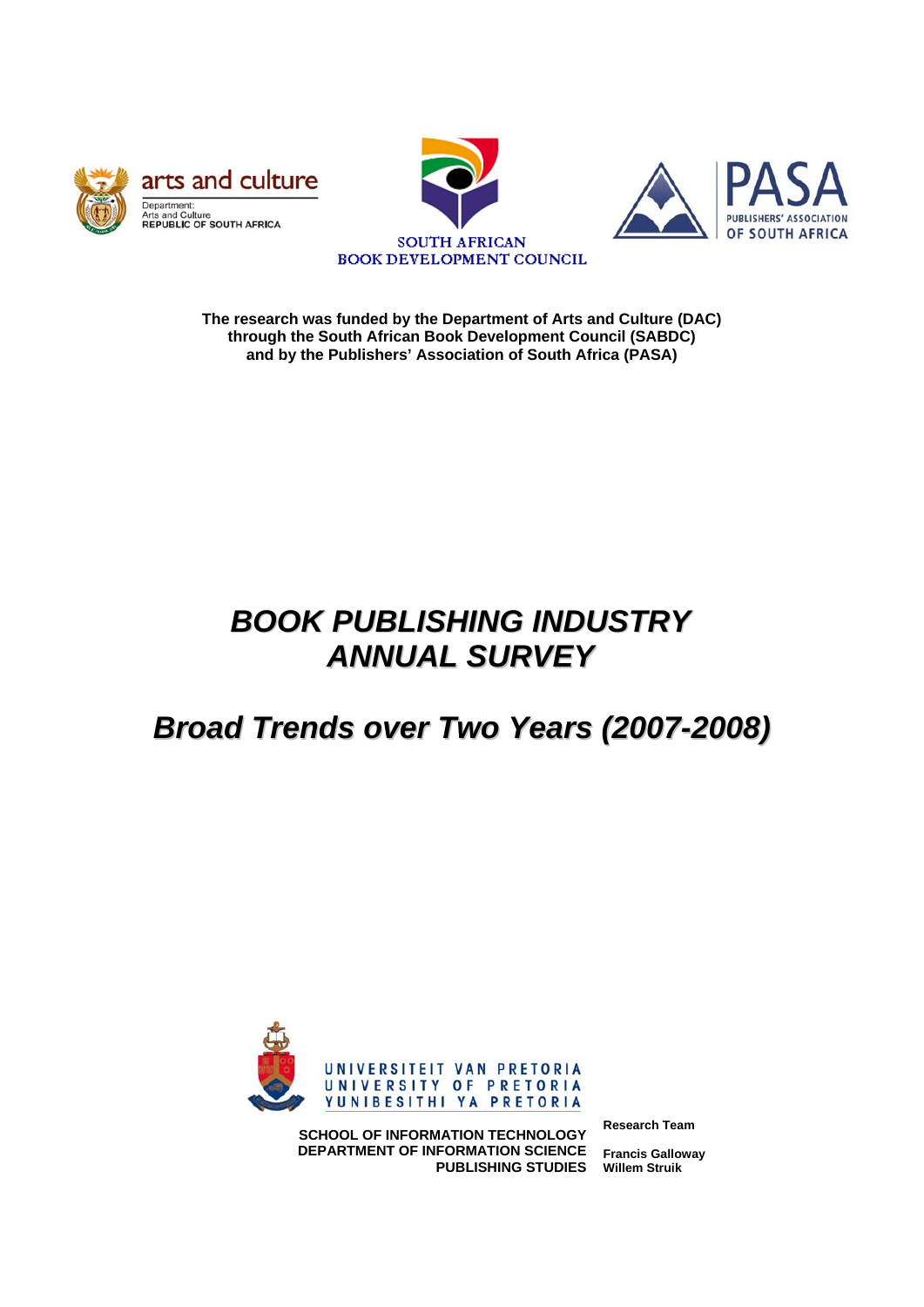





**The research was funded by the Department of Arts and Culture (DAC) through the South African Book Development Council (SABDC) and by the Publishers' Association of South Africa (PASA)** 

# *BOOK PUBLISHING INDUSTRY ANNUAL SURVEY*

# *Broad Trends over Two Years (2007-2008)*



**SCHOOL OF INFORMATION TECHNOLOGY DEPARTMENT OF INFORMATION SCIENCE PUBLISHING STUDIES** **Research Team** 

**Francis Galloway Willem Struik**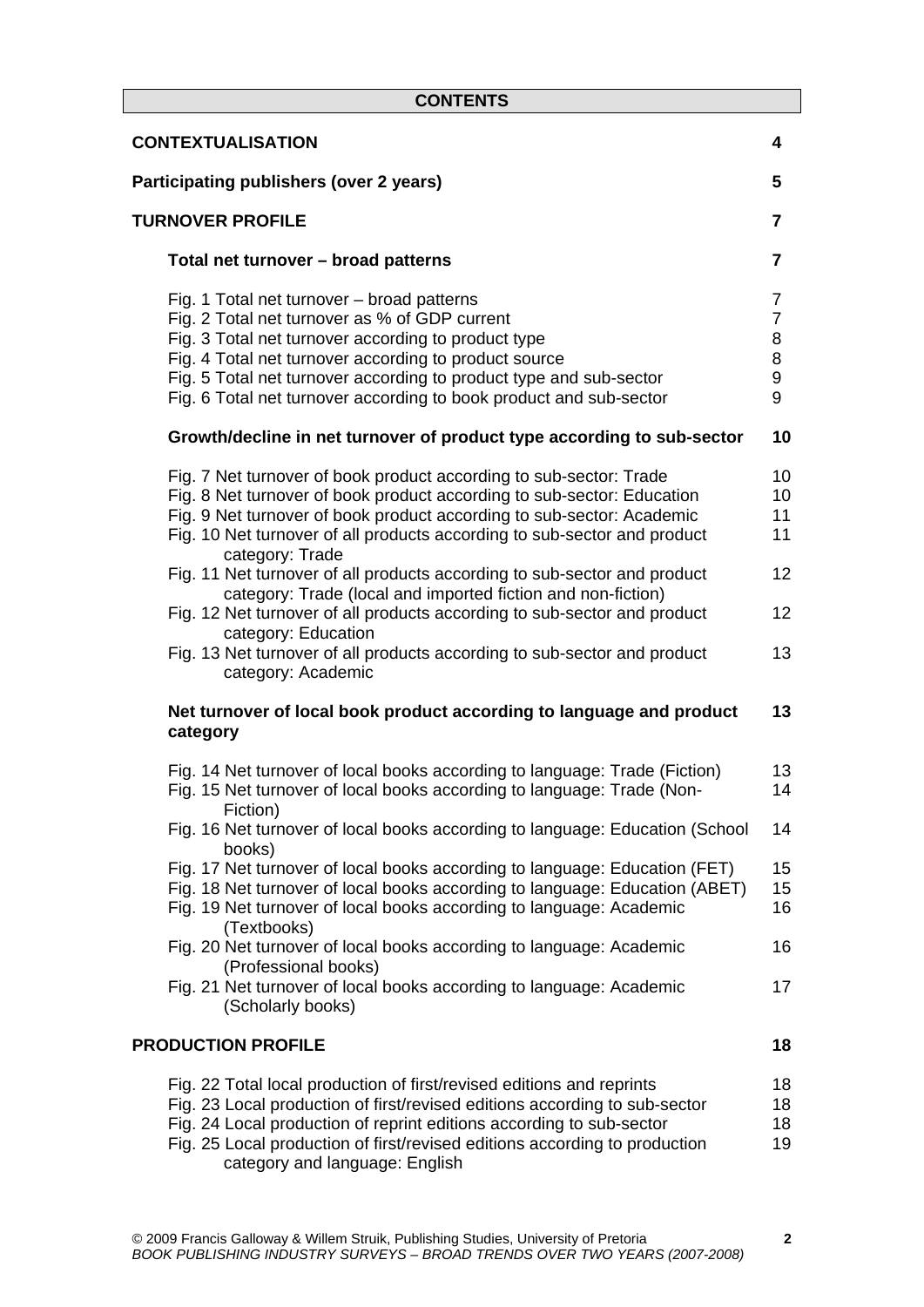| <b>CONTENTS</b>                                                                                                                                                                                                                                                                                                                                         |                                                      |
|---------------------------------------------------------------------------------------------------------------------------------------------------------------------------------------------------------------------------------------------------------------------------------------------------------------------------------------------------------|------------------------------------------------------|
| <b>CONTEXTUALISATION</b>                                                                                                                                                                                                                                                                                                                                | 4                                                    |
| Participating publishers (over 2 years)                                                                                                                                                                                                                                                                                                                 | 5                                                    |
| <b>TURNOVER PROFILE</b>                                                                                                                                                                                                                                                                                                                                 | 7                                                    |
| Total net turnover - broad patterns                                                                                                                                                                                                                                                                                                                     | 7                                                    |
| Fig. 1 Total net turnover - broad patterns<br>Fig. 2 Total net turnover as % of GDP current<br>Fig. 3 Total net turnover according to product type<br>Fig. 4 Total net turnover according to product source<br>Fig. 5 Total net turnover according to product type and sub-sector<br>Fig. 6 Total net turnover according to book product and sub-sector | $\overline{7}$<br>$\overline{7}$<br>8<br>8<br>9<br>9 |
| Growth/decline in net turnover of product type according to sub-sector                                                                                                                                                                                                                                                                                  | 10                                                   |
| Fig. 7 Net turnover of book product according to sub-sector: Trade<br>Fig. 8 Net turnover of book product according to sub-sector: Education<br>Fig. 9 Net turnover of book product according to sub-sector: Academic<br>Fig. 10 Net turnover of all products according to sub-sector and product<br>category: Trade                                    | 10<br>10<br>11<br>11                                 |
| Fig. 11 Net turnover of all products according to sub-sector and product<br>category: Trade (local and imported fiction and non-fiction)                                                                                                                                                                                                                | 12                                                   |
| Fig. 12 Net turnover of all products according to sub-sector and product<br>category: Education                                                                                                                                                                                                                                                         | 12                                                   |
| Fig. 13 Net turnover of all products according to sub-sector and product<br>category: Academic                                                                                                                                                                                                                                                          | 13                                                   |
| Net turnover of local book product according to language and product<br>category                                                                                                                                                                                                                                                                        | 13                                                   |
| Fig. 14 Net turnover of local books according to language: Trade (Fiction)<br>Fig. 15 Net turnover of local books according to language: Trade (Non-<br>Fiction)                                                                                                                                                                                        | 13<br>14                                             |
| Fig. 16 Net turnover of local books according to language: Education (School<br>books)                                                                                                                                                                                                                                                                  | 14                                                   |
| Fig. 17 Net turnover of local books according to language: Education (FET)<br>Fig. 18 Net turnover of local books according to language: Education (ABET)<br>Fig. 19 Net turnover of local books according to language: Academic<br>(Textbooks)                                                                                                         | 15<br>15<br>16                                       |
| Fig. 20 Net turnover of local books according to language: Academic<br>(Professional books)                                                                                                                                                                                                                                                             | 16                                                   |
| Fig. 21 Net turnover of local books according to language: Academic<br>(Scholarly books)                                                                                                                                                                                                                                                                | 17                                                   |
| <b>PRODUCTION PROFILE</b>                                                                                                                                                                                                                                                                                                                               | 18                                                   |
| Fig. 22 Total local production of first/revised editions and reprints<br>Fig. 23 Local production of first/revised editions according to sub-sector<br>Fig. 24 Local production of reprint editions according to sub-sector<br>Fig. 25 Local production of first/revised editions according to production<br>category and language: English             | 18<br>18<br>18<br>19                                 |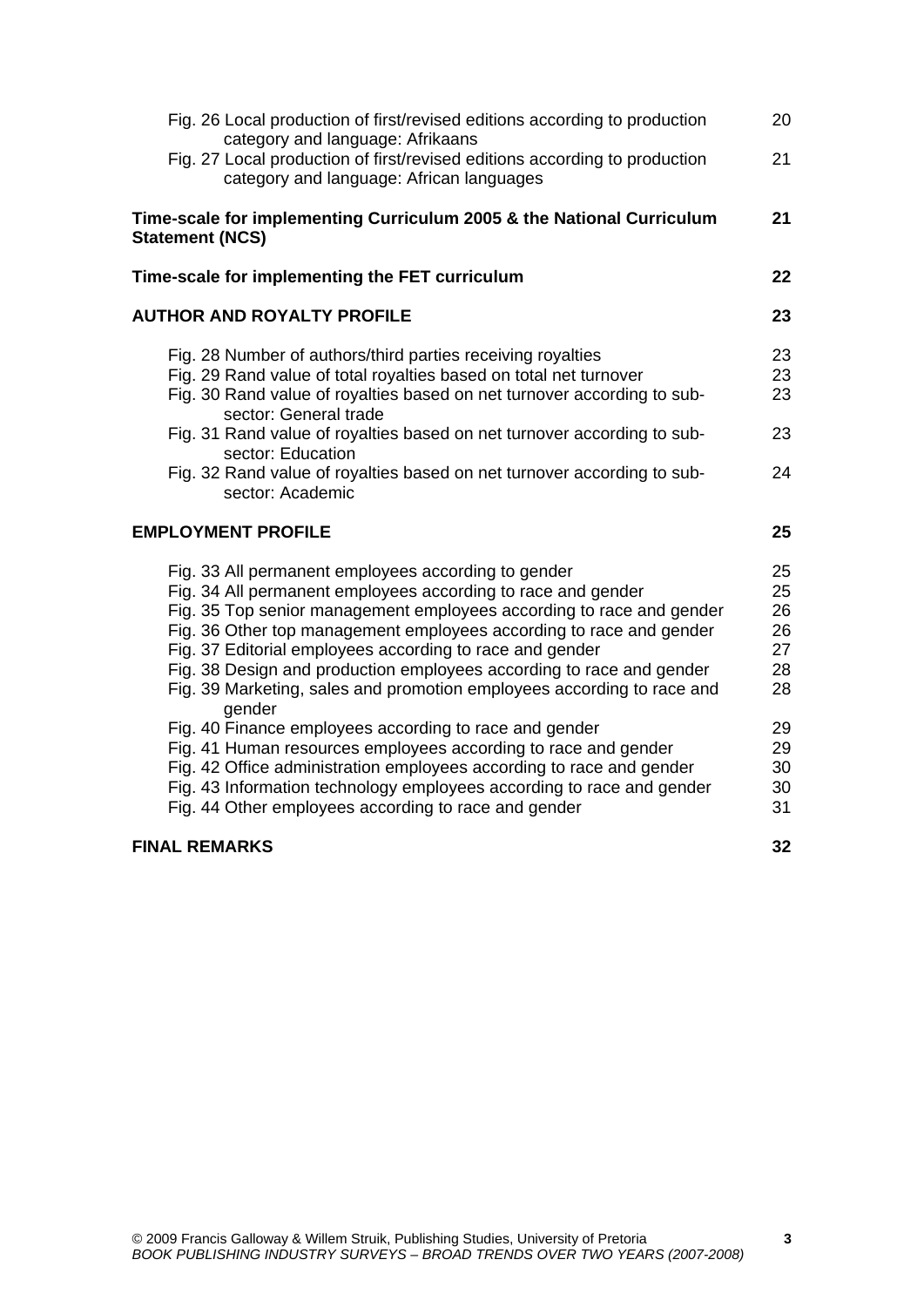| Fig. 26 Local production of first/revised editions according to production<br>category and language: Afrikaans                                                                                                                                                                                                                                                                                                                                                                   | 20                                     |
|----------------------------------------------------------------------------------------------------------------------------------------------------------------------------------------------------------------------------------------------------------------------------------------------------------------------------------------------------------------------------------------------------------------------------------------------------------------------------------|----------------------------------------|
| Fig. 27 Local production of first/revised editions according to production<br>category and language: African languages                                                                                                                                                                                                                                                                                                                                                           | 21                                     |
| Time-scale for implementing Curriculum 2005 & the National Curriculum<br><b>Statement (NCS)</b>                                                                                                                                                                                                                                                                                                                                                                                  | 21                                     |
| Time-scale for implementing the FET curriculum                                                                                                                                                                                                                                                                                                                                                                                                                                   | 22                                     |
| <b>AUTHOR AND ROYALTY PROFILE</b>                                                                                                                                                                                                                                                                                                                                                                                                                                                | 23                                     |
| Fig. 28 Number of authors/third parties receiving royalties<br>Fig. 29 Rand value of total royalties based on total net turnover<br>Fig. 30 Rand value of royalties based on net turnover according to sub-<br>sector: General trade                                                                                                                                                                                                                                             | 23<br>23<br>23                         |
| Fig. 31 Rand value of royalties based on net turnover according to sub-<br>sector: Education<br>Fig. 32 Rand value of royalties based on net turnover according to sub-<br>sector: Academic                                                                                                                                                                                                                                                                                      | 23<br>24                               |
| <b>EMPLOYMENT PROFILE</b>                                                                                                                                                                                                                                                                                                                                                                                                                                                        | 25                                     |
| Fig. 33 All permanent employees according to gender<br>Fig. 34 All permanent employees according to race and gender<br>Fig. 35 Top senior management employees according to race and gender<br>Fig. 36 Other top management employees according to race and gender<br>Fig. 37 Editorial employees according to race and gender<br>Fig. 38 Design and production employees according to race and gender<br>Fig. 39 Marketing, sales and promotion employees according to race and | 25<br>25<br>26<br>26<br>27<br>28<br>28 |
| gender<br>Fig. 40 Finance employees according to race and gender<br>Fig. 41 Human resources employees according to race and gender<br>Fig. 42 Office administration employees according to race and gender<br>Fig. 43 Information technology employees according to race and gender<br>Fig. 44 Other employees according to race and gender                                                                                                                                      | 29<br>29<br>30<br>30<br>31             |
| <b>FINAL REMARKS</b>                                                                                                                                                                                                                                                                                                                                                                                                                                                             | 32                                     |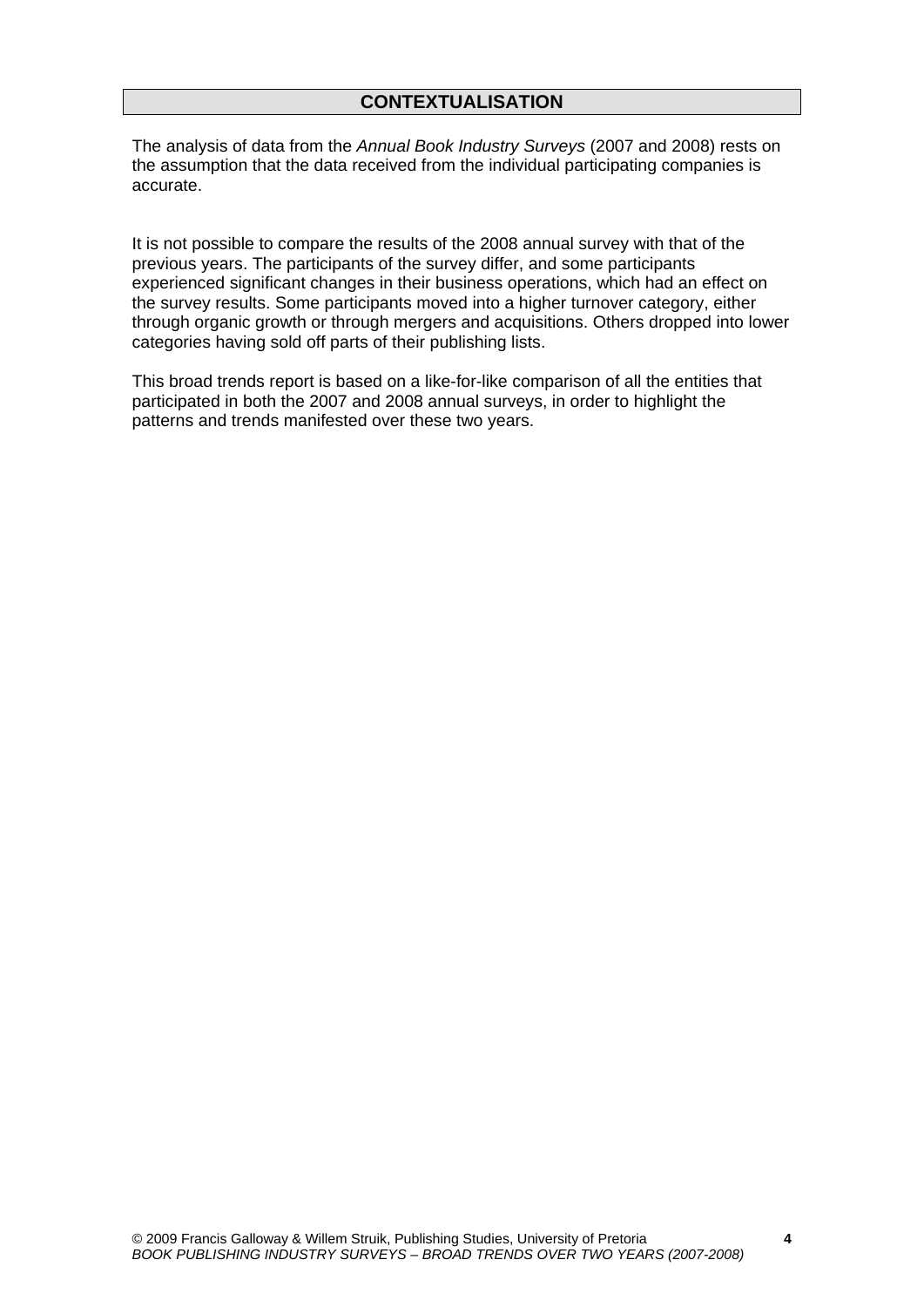# **CONTEXTUALISATION**

The analysis of data from the *Annual Book Industry Surveys* (2007 and 2008) rests on the assumption that the data received from the individual participating companies is accurate.

It is not possible to compare the results of the 2008 annual survey with that of the previous years. The participants of the survey differ, and some participants experienced significant changes in their business operations, which had an effect on the survey results. Some participants moved into a higher turnover category, either through organic growth or through mergers and acquisitions. Others dropped into lower categories having sold off parts of their publishing lists.

This broad trends report is based on a like-for-like comparison of all the entities that participated in both the 2007 and 2008 annual surveys, in order to highlight the patterns and trends manifested over these two years.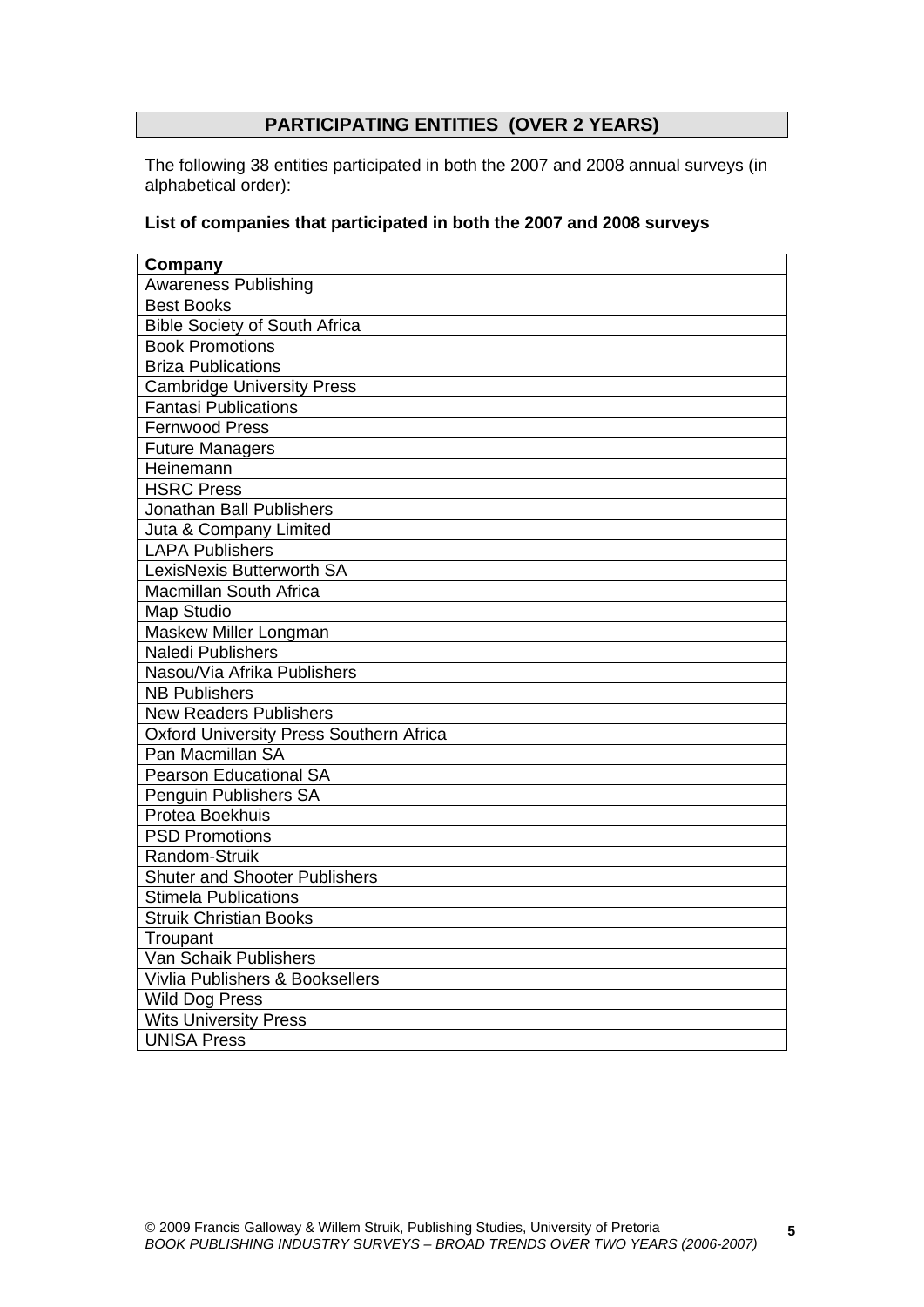# **PARTICIPATING ENTITIES (OVER 2 YEARS)**

The following 38 entities participated in both the 2007 and 2008 annual surveys (in alphabetical order):

## **List of companies that participated in both the 2007 and 2008 surveys**

| Company                                        |
|------------------------------------------------|
| <b>Awareness Publishing</b>                    |
| <b>Best Books</b>                              |
| <b>Bible Society of South Africa</b>           |
| <b>Book Promotions</b>                         |
| <b>Briza Publications</b>                      |
| <b>Cambridge University Press</b>              |
| <b>Fantasi Publications</b>                    |
| <b>Fernwood Press</b>                          |
| <b>Future Managers</b>                         |
| Heinemann                                      |
| <b>HSRC Press</b>                              |
| Jonathan Ball Publishers                       |
| Juta & Company Limited                         |
| <b>LAPA Publishers</b>                         |
| LexisNexis Butterworth SA                      |
| Macmillan South Africa                         |
| Map Studio                                     |
| Maskew Miller Longman                          |
| <b>Naledi Publishers</b>                       |
| Nasou/Via Afrika Publishers                    |
| <b>NB Publishers</b>                           |
| <b>New Readers Publishers</b>                  |
| <b>Oxford University Press Southern Africa</b> |
| Pan Macmillan SA                               |
| <b>Pearson Educational SA</b>                  |
| Penguin Publishers SA                          |
| Protea Boekhuis                                |
| <b>PSD Promotions</b>                          |
| Random-Struik                                  |
| <b>Shuter and Shooter Publishers</b>           |
| <b>Stimela Publications</b>                    |
| <b>Struik Christian Books</b>                  |
| Troupant                                       |
| Van Schaik Publishers                          |
| Vivlia Publishers & Booksellers                |
| Wild Dog Press                                 |
| <b>Wits University Press</b>                   |
| <b>UNISA Press</b>                             |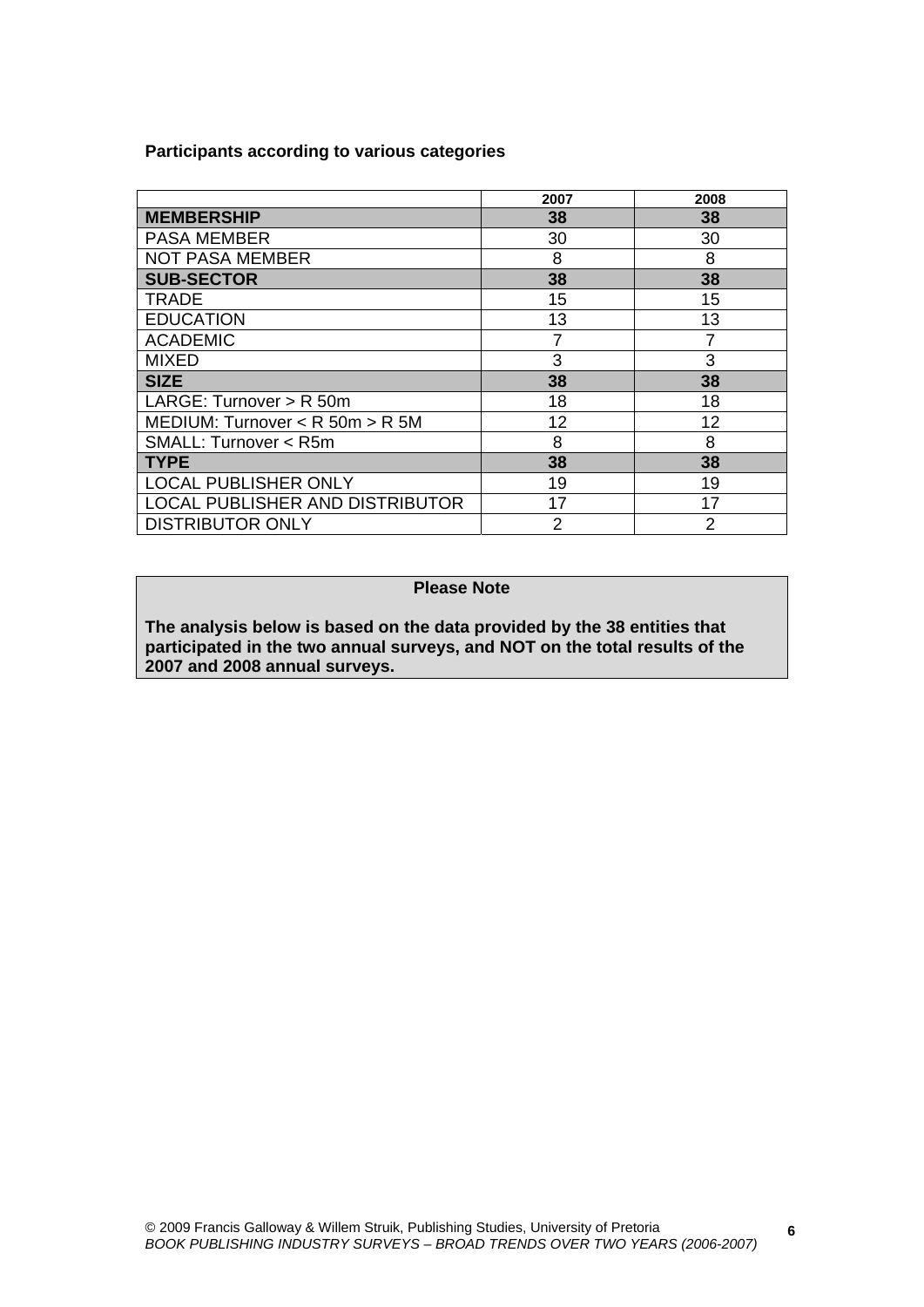**Participants according to various categories** 

|                                        | 2007 | 2008 |
|----------------------------------------|------|------|
| <b>MEMBERSHIP</b>                      | 38   | 38   |
| <b>PASA MEMBER</b>                     | 30   | 30   |
| <b>NOT PASA MEMBER</b>                 | 8    | 8    |
| <b>SUB-SECTOR</b>                      | 38   | 38   |
| <b>TRADE</b>                           | 15   | 15   |
| <b>EDUCATION</b>                       | 13   | 13   |
| <b>ACADEMIC</b>                        | 7    | 7    |
| <b>MIXED</b>                           | 3    | 3    |
| <b>SIZE</b>                            | 38   | 38   |
| LARGE: Turnover > R 50m                | 18   | 18   |
| MEDIUM: Turnover $<$ R 50m $>$ R 5M    | 12   | 12   |
| SMALL: Turnover < R5m                  | 8    | 8    |
| <b>TYPE</b>                            | 38   | 38   |
| <b>LOCAL PUBLISHER ONLY</b>            | 19   | 19   |
| <b>LOCAL PUBLISHER AND DISTRIBUTOR</b> | 17   | 17   |
| <b>DISTRIBUTOR ONLY</b>                | 2    | 2    |

# **Please Note**

**The analysis below is based on the data provided by the 38 entities that participated in the two annual surveys, and NOT on the total results of the 2007 and 2008 annual surveys.** 

**6**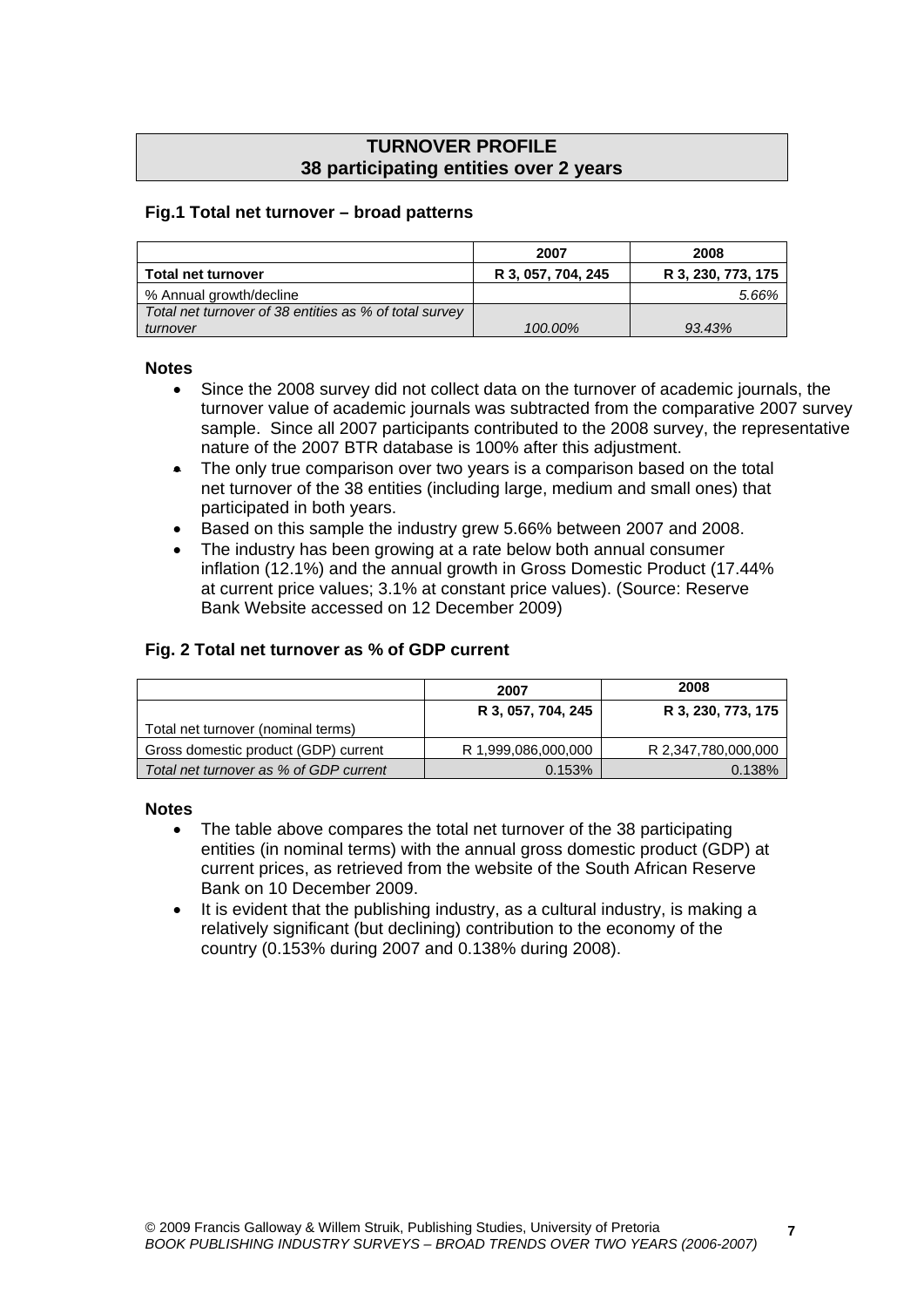# **TURNOVER PROFILE 38 participating entities over 2 years**

## **Fig.1 Total net turnover – broad patterns**

|                                                        | 2007               | 2008               |
|--------------------------------------------------------|--------------------|--------------------|
| <b>Total net turnover</b>                              | R 3, 057, 704, 245 | R 3, 230, 773, 175 |
| % Annual growth/decline                                |                    | 5.66%              |
| Total net turnover of 38 entities as % of total survey |                    |                    |
| turnover                                               | 100.00%            | 93.43%             |

#### **Notes**

- Since the 2008 survey did not collect data on the turnover of academic journals, the turnover value of academic journals was subtracted from the comparative 2007 survey sample. Since all 2007 participants contributed to the 2008 survey, the representative nature of the 2007 BTR database is 100% after this adjustment.
- The only true comparison over two years is a comparison based on the total net turnover of the 38 entities (including large, medium and small ones) that participated in both years.
- Based on this sample the industry grew 5.66% between 2007 and 2008.
- The industry has been growing at a rate below both annual consumer inflation (12.1%) and the annual growth in Gross Domestic Product (17.44% at current price values; 3.1% at constant price values). (Source: Reserve Bank Website accessed on 12 December 2009)

## **Fig. 2 Total net turnover as % of GDP current**

|                                        | 2007                | 2008                |
|----------------------------------------|---------------------|---------------------|
|                                        | R 3, 057, 704, 245  | R 3, 230, 773, 175  |
| Total net turnover (nominal terms)     |                     |                     |
| Gross domestic product (GDP) current   | R 1,999,086,000,000 | R 2,347,780,000,000 |
| Total net turnover as % of GDP current | 0.153%              | 0.138%              |

## **Notes**

- The table above compares the total net turnover of the 38 participating entities (in nominal terms) with the annual gross domestic product (GDP) at current prices, as retrieved from the website of the South African Reserve Bank on 10 December 2009.
- It is evident that the publishing industry, as a cultural industry, is making a relatively significant (but declining) contribution to the economy of the country (0.153% during 2007 and 0.138% during 2008).

**7**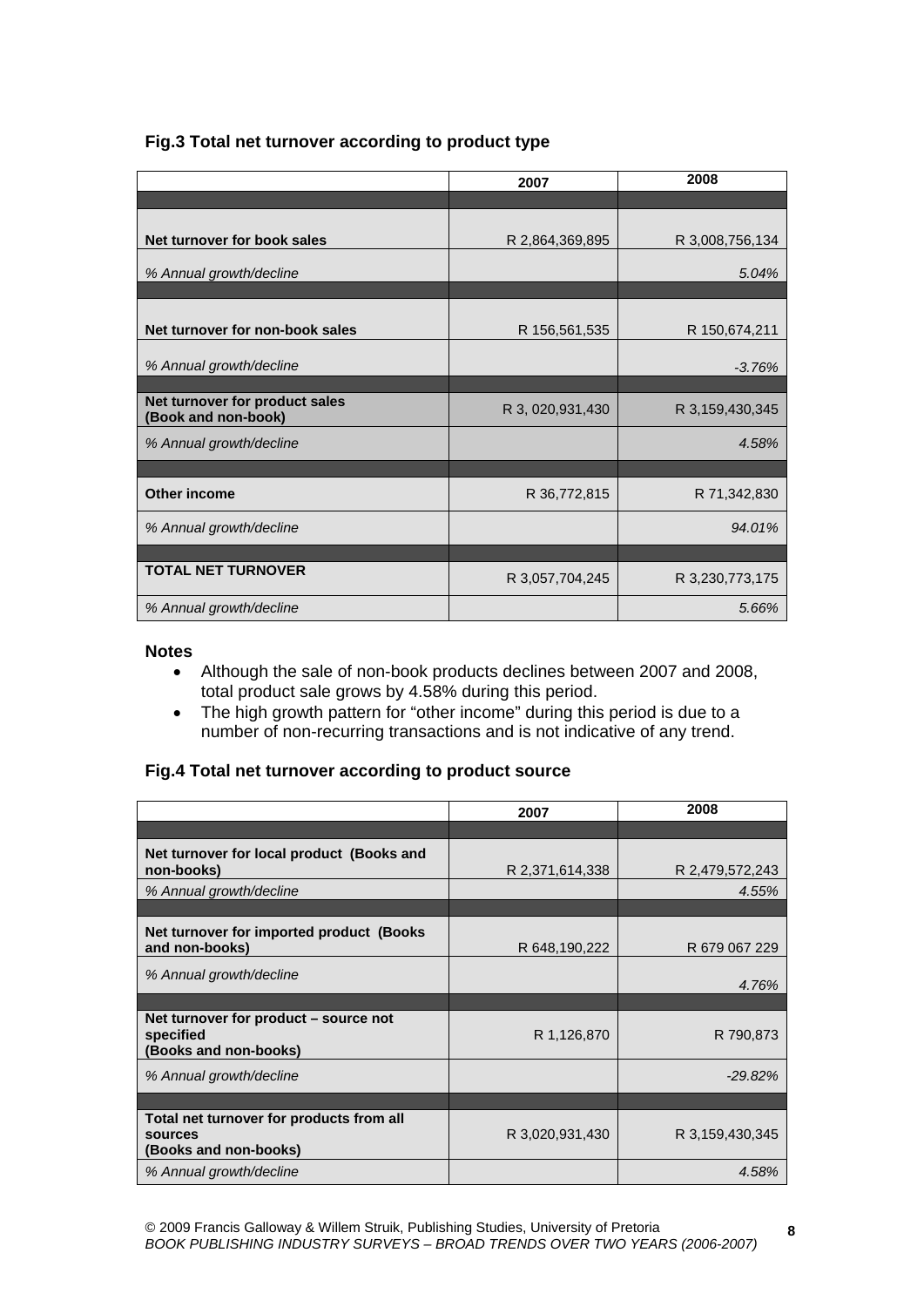# **Fig.3 Total net turnover according to product type**

|                                                       | 2007             | 2008            |
|-------------------------------------------------------|------------------|-----------------|
|                                                       |                  |                 |
| Net turnover for book sales                           | R 2,864,369,895  | R 3,008,756,134 |
| % Annual growth/decline                               |                  | 5.04%           |
|                                                       |                  |                 |
| Net turnover for non-book sales                       | R 156,561,535    | R 150,674,211   |
| % Annual growth/decline                               |                  | $-3.76%$        |
|                                                       |                  |                 |
| Net turnover for product sales<br>(Book and non-book) | R 3, 020,931,430 | R 3,159,430,345 |
| % Annual growth/decline                               |                  | 4.58%           |
|                                                       |                  |                 |
| Other income                                          | R 36,772,815     | R 71,342,830    |
| % Annual growth/decline                               |                  | 94.01%          |
|                                                       |                  |                 |
| <b>TOTAL NET TURNOVER</b>                             | R 3,057,704,245  | R 3,230,773,175 |
| % Annual growth/decline                               |                  | 5.66%           |

#### **Notes**

- Although the sale of non-book products declines between 2007 and 2008, total product sale grows by 4.58% during this period.
- The high growth pattern for "other income" during this period is due to a number of non-recurring transactions and is not indicative of any trend.

## **Fig.4 Total net turnover according to product source**

|                                                                              | 2007            | 2008            |
|------------------------------------------------------------------------------|-----------------|-----------------|
|                                                                              |                 |                 |
| Net turnover for local product (Books and<br>non-books)                      | R 2,371,614,338 | R 2,479,572,243 |
| % Annual growth/decline                                                      |                 | 4.55%           |
|                                                                              |                 |                 |
| Net turnover for imported product (Books<br>and non-books)                   | R 648,190,222   | R 679 067 229   |
| % Annual growth/decline                                                      |                 | 4.76%           |
|                                                                              |                 |                 |
| Net turnover for product – source not<br>specified<br>(Books and non-books)  | R 1,126,870     | R 790,873       |
| % Annual growth/decline                                                      |                 | $-29.82%$       |
|                                                                              |                 |                 |
| Total net turnover for products from all<br>sources<br>(Books and non-books) | R 3,020,931,430 | R 3,159,430,345 |
| % Annual growth/decline                                                      |                 | 4.58%           |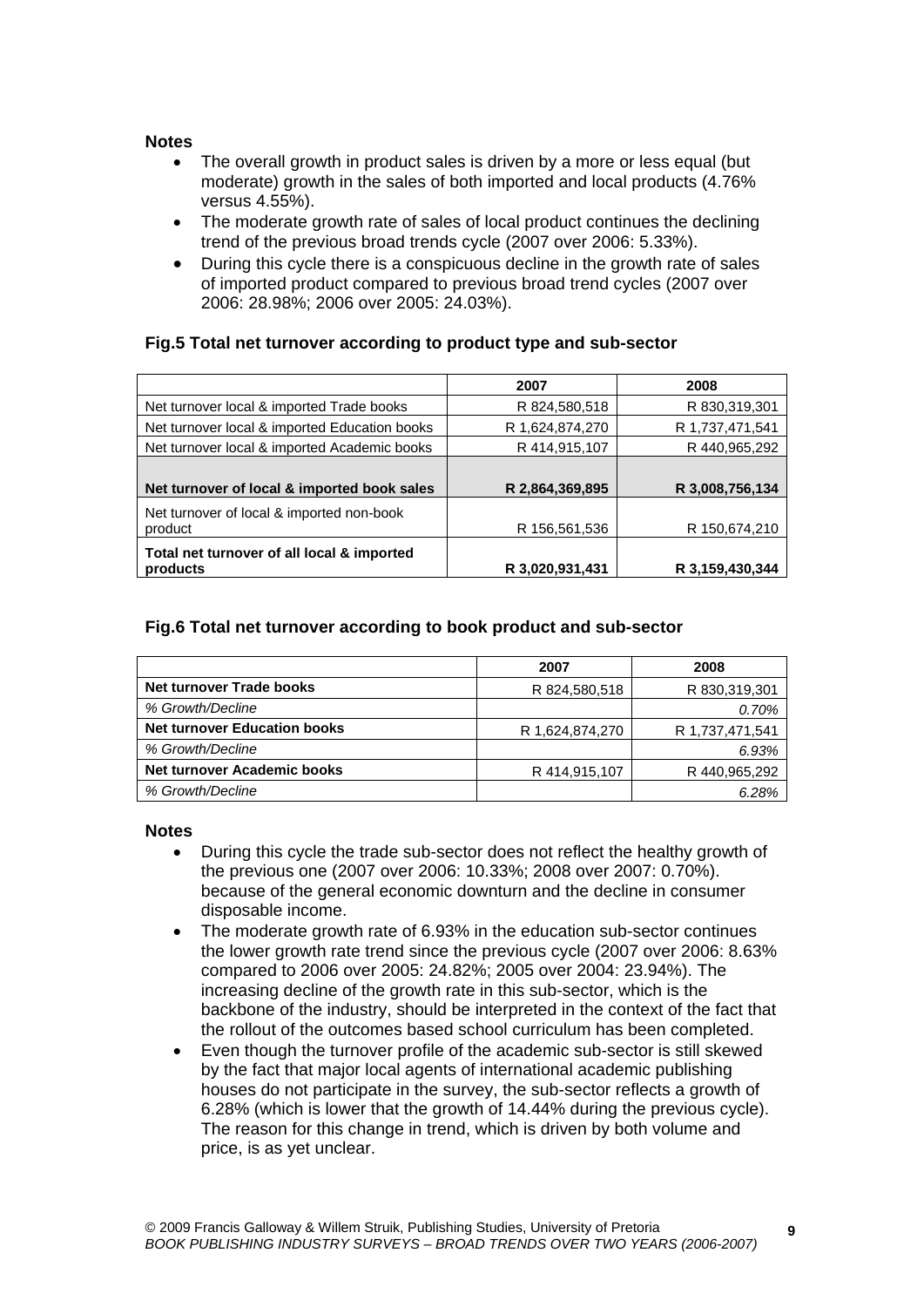#### **Notes**

- The overall growth in product sales is driven by a more or less equal (but moderate) growth in the sales of both imported and local products (4.76% versus 4.55%).
- The moderate growth rate of sales of local product continues the declining trend of the previous broad trends cycle (2007 over 2006: 5.33%).
- During this cycle there is a conspicuous decline in the growth rate of sales of imported product compared to previous broad trend cycles (2007 over 2006: 28.98%; 2006 over 2005: 24.03%).

# **Fig.5 Total net turnover according to product type and sub-sector**

|                                               | 2007            | 2008            |
|-----------------------------------------------|-----------------|-----------------|
| Net turnover local & imported Trade books     | R 824,580,518   | R 830, 319, 301 |
| Net turnover local & imported Education books | R 1,624,874,270 | R 1,737,471,541 |
| Net turnover local & imported Academic books  | R 414,915,107   | R 440,965,292   |
|                                               |                 |                 |
| Net turnover of local & imported book sales   | R 2,864,369,895 | R 3,008,756,134 |
| Net turnover of local & imported non-book     |                 |                 |
| product                                       | R 156,561,536   | R 150,674,210   |
| Total net turnover of all local & imported    |                 |                 |
| products                                      | R 3,020,931,431 | R 3,159,430,344 |

# **Fig.6 Total net turnover according to book product and sub-sector**

|                                     | 2007            | 2008            |
|-------------------------------------|-----------------|-----------------|
| <b>Net turnover Trade books</b>     | R 824,580,518   | R 830, 319, 301 |
| % Growth/Decline                    |                 | 0.70%           |
| <b>Net turnover Education books</b> | R 1,624,874,270 | R 1,737,471,541 |
| % Growth/Decline                    |                 | 6.93%           |
| Net turnover Academic books         | R 414,915,107   | R 440,965,292   |
| % Growth/Decline                    |                 | 6.28%           |

- During this cycle the trade sub-sector does not reflect the healthy growth of the previous one (2007 over 2006: 10.33%; 2008 over 2007: 0.70%). because of the general economic downturn and the decline in consumer disposable income.
- The moderate growth rate of 6.93% in the education sub-sector continues the lower growth rate trend since the previous cycle (2007 over 2006: 8.63% compared to 2006 over 2005: 24.82%; 2005 over 2004: 23.94%). The increasing decline of the growth rate in this sub-sector, which is the backbone of the industry, should be interpreted in the context of the fact that the rollout of the outcomes based school curriculum has been completed.
- Even though the turnover profile of the academic sub-sector is still skewed by the fact that major local agents of international academic publishing houses do not participate in the survey, the sub-sector reflects a growth of 6.28% (which is lower that the growth of 14.44% during the previous cycle). The reason for this change in trend, which is driven by both volume and price, is as yet unclear.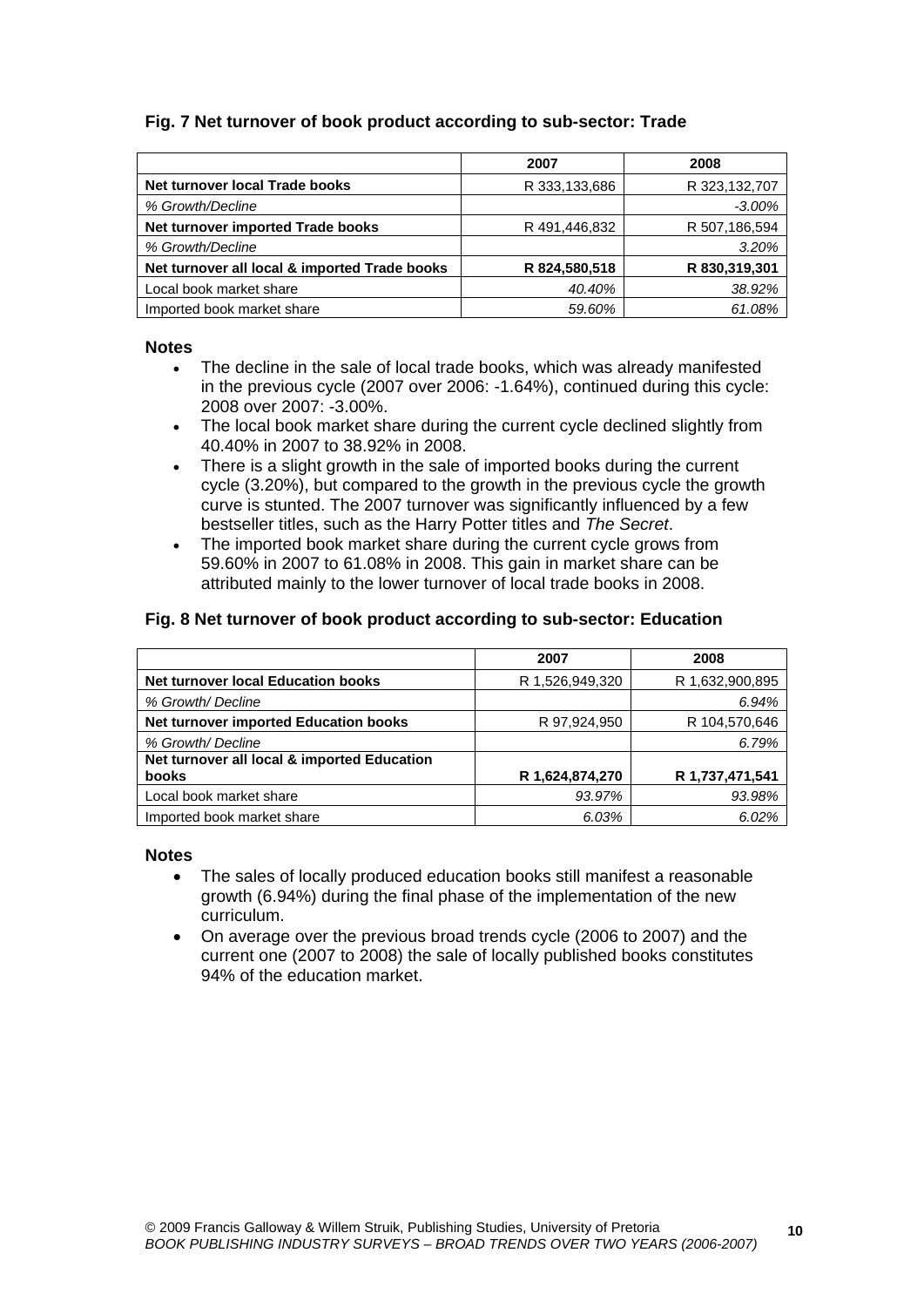# **Fig. 7 Net turnover of book product according to sub-sector: Trade**

|                                               | 2007          | 2008          |
|-----------------------------------------------|---------------|---------------|
| Net turnover local Trade books                | R 333,133,686 | R 323,132,707 |
| % Growth/Decline                              |               | $-3.00%$      |
| Net turnover imported Trade books             | R 491,446,832 | R 507,186,594 |
| % Growth/Decline                              |               | 3.20%         |
| Net turnover all local & imported Trade books | R 824,580,518 | R 830,319,301 |
| Local book market share                       | 40.40%        | 38.92%        |
| Imported book market share                    | 59.60%        | 61.08%        |

#### **Notes**

- The decline in the sale of local trade books, which was already manifested in the previous cycle (2007 over 2006: -1.64%), continued during this cycle: 2008 over 2007: -3.00%.
- The local book market share during the current cycle declined slightly from 40.40% in 2007 to 38.92% in 2008.
- There is a slight growth in the sale of imported books during the current cycle (3.20%), but compared to the growth in the previous cycle the growth curve is stunted. The 2007 turnover was significantly influenced by a few bestseller titles, such as the Harry Potter titles and *The Secret*.
- The imported book market share during the current cycle grows from 59.60% in 2007 to 61.08% in 2008. This gain in market share can be attributed mainly to the lower turnover of local trade books in 2008.

#### **Fig. 8 Net turnover of book product according to sub-sector: Education**

|                                             | 2007            | 2008            |
|---------------------------------------------|-----------------|-----------------|
| <b>Net turnover local Education books</b>   | R 1,526,949,320 | R 1,632,900,895 |
| % Growth/ Decline                           |                 | 6.94%           |
| Net turnover imported Education books       | R 97,924,950    | R 104,570,646   |
| % Growth/ Decline                           |                 | 6.79%           |
| Net turnover all local & imported Education |                 |                 |
| books                                       | R 1,624,874,270 | R 1,737,471,541 |
| Local book market share                     | 93.97%          | 93.98%          |
| Imported book market share                  | 6.03%           | 6.02%           |

- The sales of locally produced education books still manifest a reasonable growth (6.94%) during the final phase of the implementation of the new curriculum.
- On average over the previous broad trends cycle (2006 to 2007) and the current one (2007 to 2008) the sale of locally published books constitutes 94% of the education market.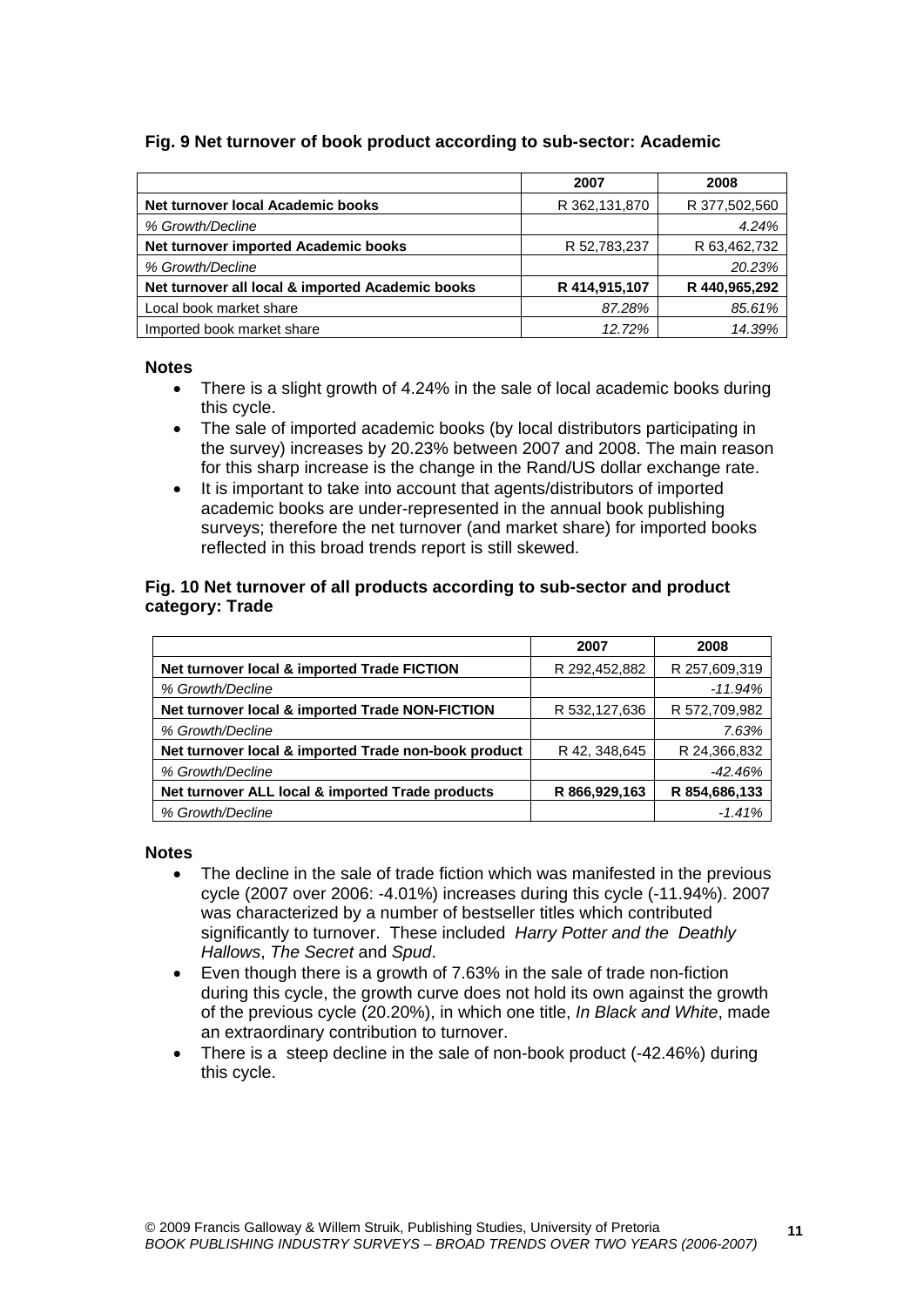# **Fig. 9 Net turnover of book product according to sub-sector: Academic**

|                                                  | 2007          | 2008          |
|--------------------------------------------------|---------------|---------------|
| Net turnover local Academic books                | R 362,131,870 | R 377,502,560 |
| % Growth/Decline                                 |               | 4.24%         |
| Net turnover imported Academic books             | R 52,783,237  | R 63,462,732  |
| % Growth/Decline                                 |               | 20.23%        |
| Net turnover all local & imported Academic books | R 414,915,107 | R 440,965,292 |
| Local book market share                          | 87.28%        | 85.61%        |
| Imported book market share                       | 12.72%        | 14.39%        |

#### **Notes**

- There is a slight growth of 4.24% in the sale of local academic books during this cycle.
- The sale of imported academic books (by local distributors participating in the survey) increases by 20.23% between 2007 and 2008. The main reason for this sharp increase is the change in the Rand/US dollar exchange rate.
- It is important to take into account that agents/distributors of imported academic books are under-represented in the annual book publishing surveys; therefore the net turnover (and market share) for imported books reflected in this broad trends report is still skewed.

#### **Fig. 10 Net turnover of all products according to sub-sector and product category: Trade**

|                                                      | 2007           | 2008          |
|------------------------------------------------------|----------------|---------------|
| Net turnover local & imported Trade FICTION          | R 292,452,882  | R 257,609,319 |
| % Growth/Decline                                     |                | $-11.94%$     |
| Net turnover local & imported Trade NON-FICTION      | R 532,127,636  | R 572,709,982 |
| % Growth/Decline                                     |                | 7.63%         |
| Net turnover local & imported Trade non-book product | R 42, 348, 645 | R 24,366,832  |
| % Growth/Decline                                     |                | $-42.46%$     |
| Net turnover ALL local & imported Trade products     | R 866,929,163  | R 854,686,133 |
| % Growth/Decline                                     |                | $-1.41%$      |

- The decline in the sale of trade fiction which was manifested in the previous cycle (2007 over 2006: -4.01%) increases during this cycle (-11.94%). 2007 was characterized by a number of bestseller titles which contributed significantly to turnover. These included *Harry Potter and the Deathly Hallows*, *The Secret* and *Spud*.
- Even though there is a growth of 7.63% in the sale of trade non-fiction during this cycle, the growth curve does not hold its own against the growth of the previous cycle (20.20%), in which one title, *In Black and White*, made an extraordinary contribution to turnover.
- There is a steep decline in the sale of non-book product (-42.46%) during this cycle.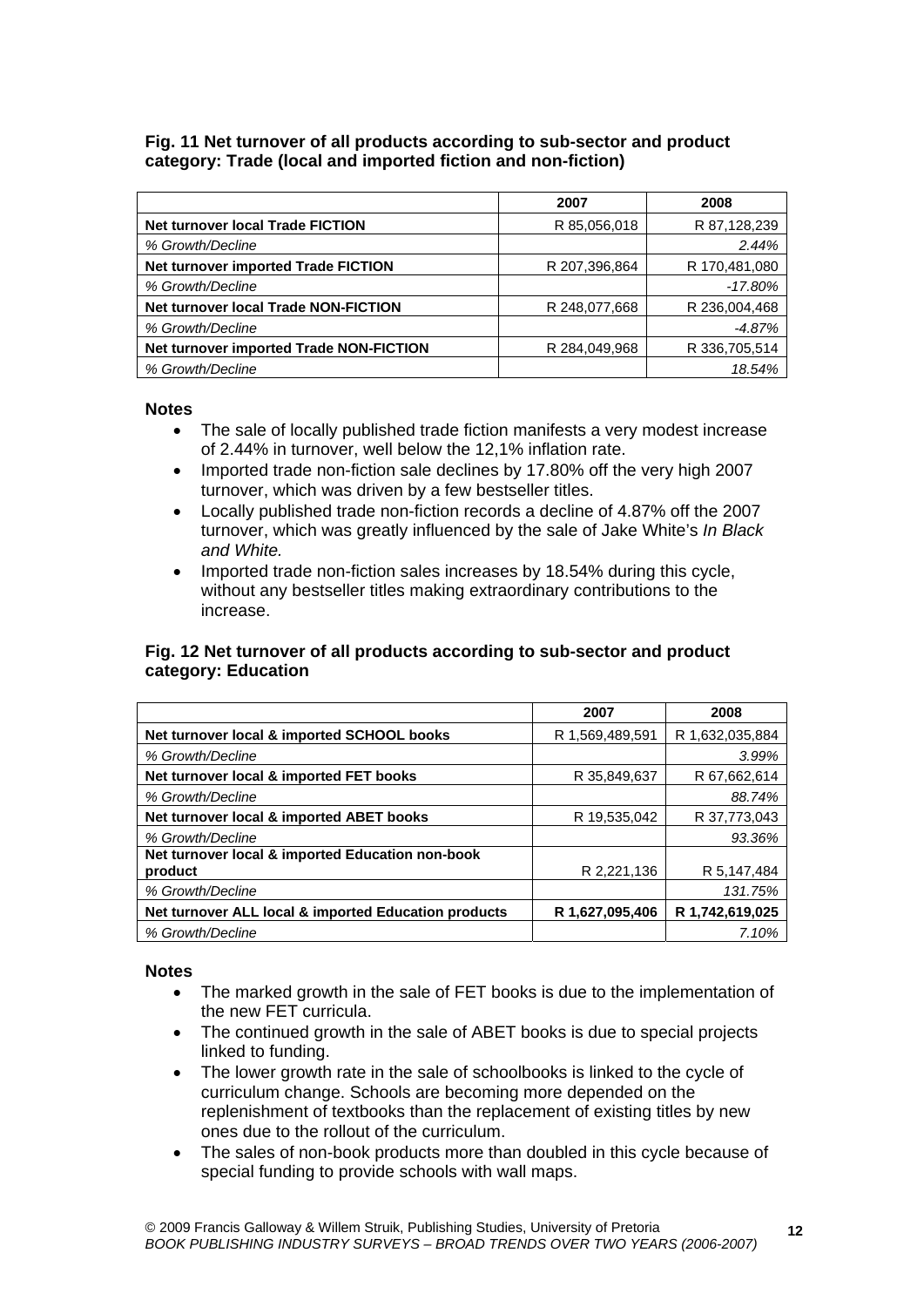## **Fig. 11 Net turnover of all products according to sub-sector and product category: Trade (local and imported fiction and non-fiction)**

|                                             | 2007          | 2008          |
|---------------------------------------------|---------------|---------------|
| Net turnover local Trade FICTION            | R 85,056,018  | R 87,128,239  |
| % Growth/Decline                            |               | 2.44%         |
| Net turnover imported Trade FICTION         | R 207,396,864 | R 170,481,080 |
| % Growth/Decline                            |               | $-17.80\%$    |
| <b>Net turnover local Trade NON-FICTION</b> | R 248,077,668 | R 236,004,468 |
| % Growth/Decline                            |               | $-4.87%$      |
| Net turnover imported Trade NON-FICTION     | R 284,049,968 | R 336,705,514 |
| % Growth/Decline                            |               | 18.54%        |

#### **Notes**

- The sale of locally published trade fiction manifests a very modest increase of 2.44% in turnover, well below the 12,1% inflation rate.
- Imported trade non-fiction sale declines by 17.80% off the very high 2007 turnover, which was driven by a few bestseller titles.
- Locally published trade non-fiction records a decline of 4.87% off the 2007 turnover, which was greatly influenced by the sale of Jake White's *In Black and White.*
- Imported trade non-fiction sales increases by 18.54% during this cycle, without any bestseller titles making extraordinary contributions to the increase.

## **Fig. 12 Net turnover of all products according to sub-sector and product category: Education**

|                                                      | 2007            | 2008            |
|------------------------------------------------------|-----------------|-----------------|
| Net turnover local & imported SCHOOL books           | R 1,569,489,591 | R 1,632,035,884 |
| % Growth/Decline                                     |                 | 3.99%           |
| Net turnover local & imported FET books              | R 35,849,637    | R 67,662,614    |
| % Growth/Decline                                     |                 | 88.74%          |
| Net turnover local & imported ABET books             | R 19,535,042    | R 37,773,043    |
| % Growth/Decline                                     |                 | 93.36%          |
| Net turnover local & imported Education non-book     |                 |                 |
| product                                              | R 2,221,136     | R 5,147,484     |
| % Growth/Decline                                     |                 | 131.75%         |
| Net turnover ALL local & imported Education products | R 1,627,095,406 | R 1,742,619,025 |
| % Growth/Decline                                     |                 | 7.10%           |

- The marked growth in the sale of FET books is due to the implementation of the new FET curricula.
- The continued growth in the sale of ABET books is due to special projects linked to funding.
- The lower growth rate in the sale of schoolbooks is linked to the cycle of curriculum change. Schools are becoming more depended on the replenishment of textbooks than the replacement of existing titles by new ones due to the rollout of the curriculum.
- The sales of non-book products more than doubled in this cycle because of special funding to provide schools with wall maps.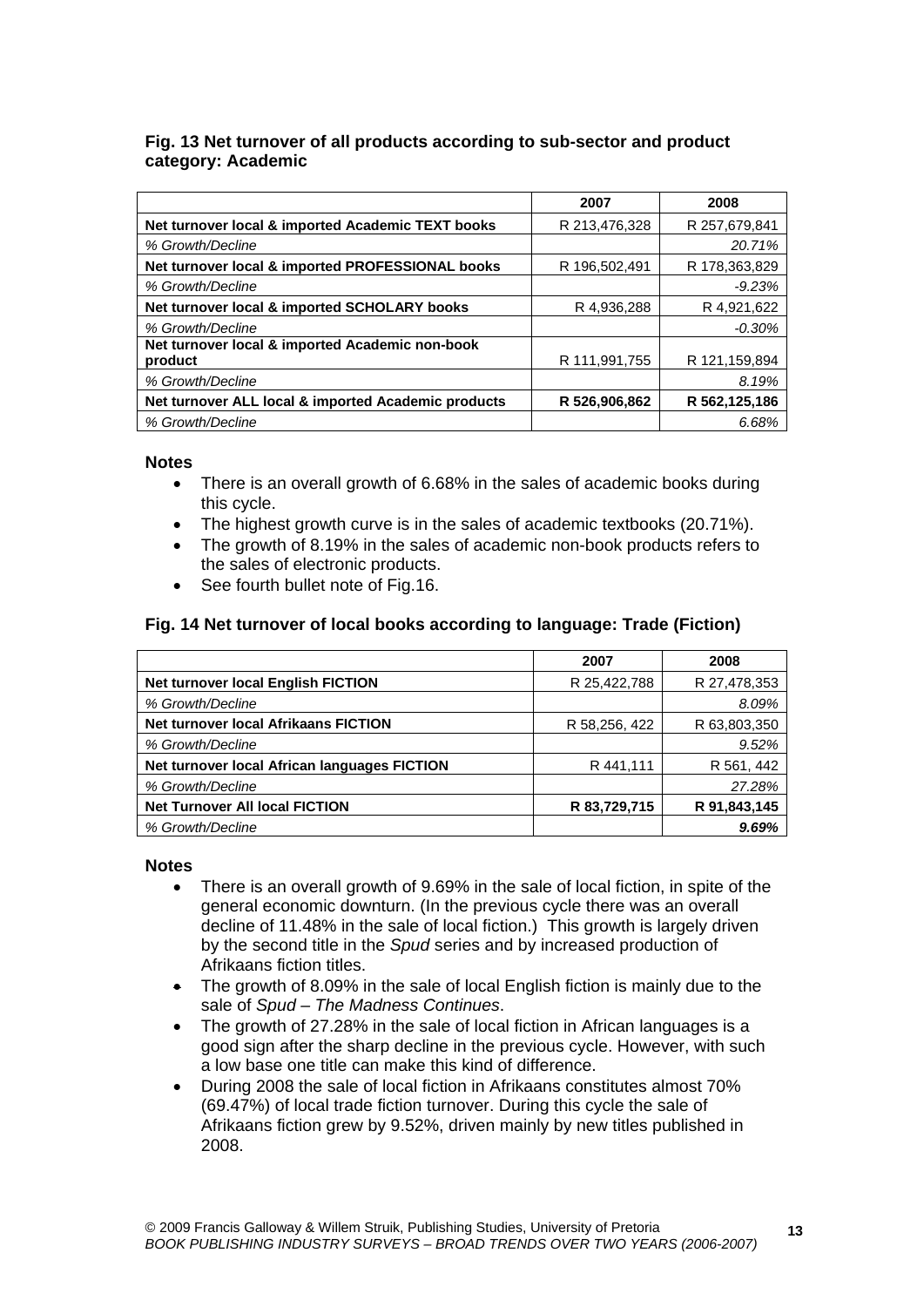# **Fig. 13 Net turnover of all products according to sub-sector and product category: Academic**

|                                                     | 2007          | 2008          |
|-----------------------------------------------------|---------------|---------------|
| Net turnover local & imported Academic TEXT books   | R 213,476,328 | R 257,679,841 |
| % Growth/Decline                                    |               | 20.71%        |
| Net turnover local & imported PROFESSIONAL books    | R 196,502,491 | R 178,363,829 |
| % Growth/Decline                                    |               | $-9.23%$      |
| Net turnover local & imported SCHOLARY books        | R 4,936,288   | R 4,921,622   |
| % Growth/Decline                                    |               | $-0.30%$      |
| Net turnover local & imported Academic non-book     |               |               |
| product                                             | R 111,991,755 | R 121,159,894 |
| % Growth/Decline                                    |               | 8.19%         |
| Net turnover ALL local & imported Academic products | R 526,906,862 | R 562,125,186 |
| % Growth/Decline                                    |               | 6.68%         |

#### **Notes**

- There is an overall growth of 6.68% in the sales of academic books during this cycle.
- The highest growth curve is in the sales of academic textbooks (20.71%).
- The growth of 8.19% in the sales of academic non-book products refers to the sales of electronic products.
- See fourth bullet note of Fig.16.

# **Fig. 14 Net turnover of local books according to language: Trade (Fiction)**

|                                              | 2007          | 2008         |
|----------------------------------------------|---------------|--------------|
| <b>Net turnover local English FICTION</b>    | R 25,422,788  | R 27,478,353 |
| % Growth/Decline                             |               | 8.09%        |
| <b>Net turnover local Afrikaans FICTION</b>  | R 58,256, 422 | R 63,803,350 |
| % Growth/Decline                             |               | 9.52%        |
| Net turnover local African languages FICTION | R 441,111     | R 561, 442   |
| % Growth/Decline                             |               | 27.28%       |
| <b>Net Turnover All local FICTION</b>        | R 83,729,715  | R 91,843,145 |
| % Growth/Decline                             |               | 9.69%        |

- There is an overall growth of 9.69% in the sale of local fiction, in spite of the general economic downturn. (In the previous cycle there was an overall decline of 11.48% in the sale of local fiction.) This growth is largely driven by the second title in the *Spud* series and by increased production of Afrikaans fiction titles.
- The growth of 8.09% in the sale of local English fiction is mainly due to the sale of *Spud – The Madness Continues*.
- The growth of 27.28% in the sale of local fiction in African languages is a good sign after the sharp decline in the previous cycle. However, with such a low base one title can make this kind of difference.
- During 2008 the sale of local fiction in Afrikaans constitutes almost 70% (69.47%) of local trade fiction turnover. During this cycle the sale of Afrikaans fiction grew by 9.52%, driven mainly by new titles published in 2008.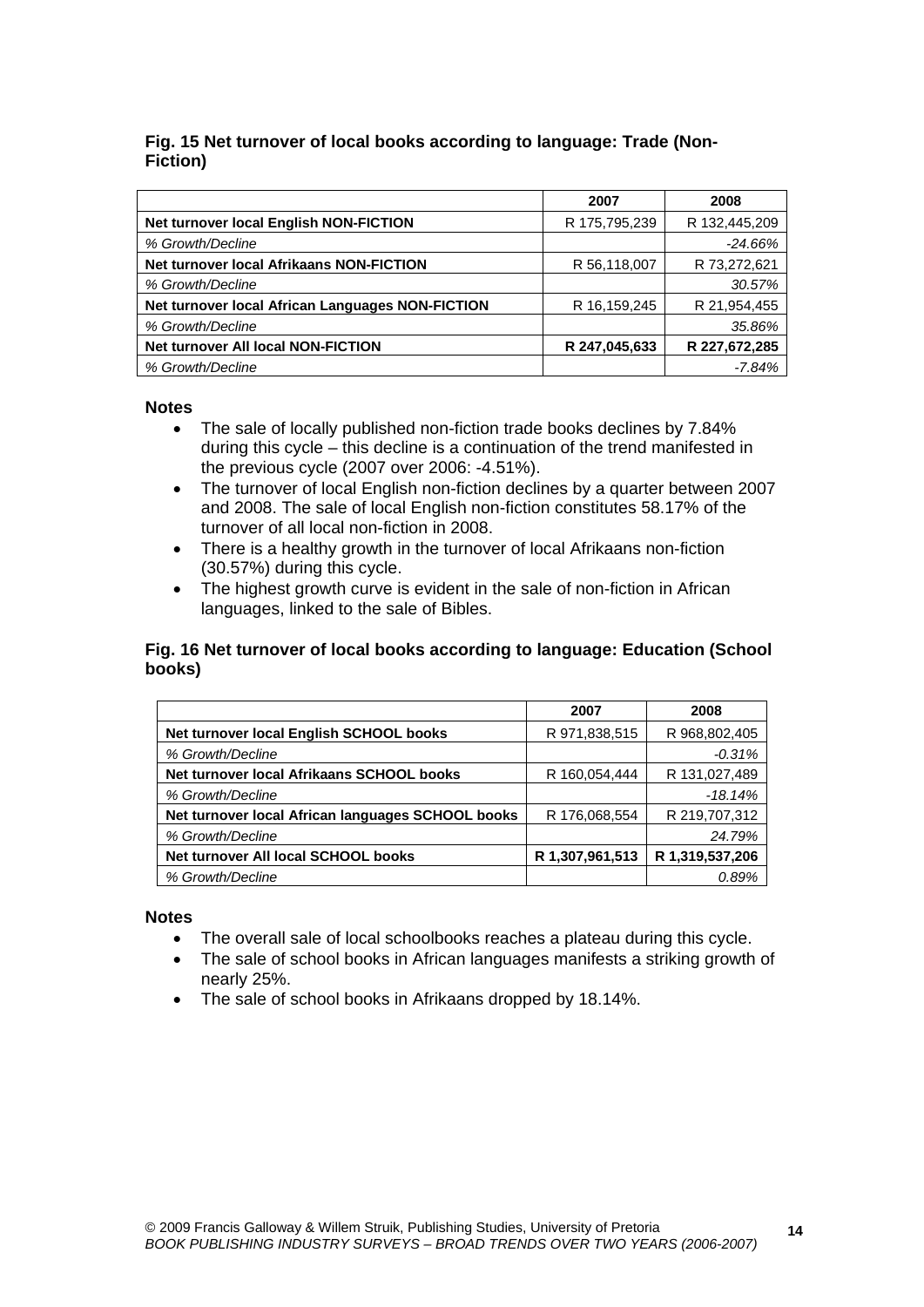## **Fig. 15 Net turnover of local books according to language: Trade (Non-Fiction)**

|                                                  | 2007          | 2008          |
|--------------------------------------------------|---------------|---------------|
| Net turnover local English NON-FICTION           | R 175,795,239 | R 132,445,209 |
| % Growth/Decline                                 |               | $-24.66%$     |
| <b>Net turnover local Afrikaans NON-FICTION</b>  | R 56,118,007  | R 73,272,621  |
| % Growth/Decline                                 |               | 30.57%        |
| Net turnover local African Languages NON-FICTION | R 16,159,245  | R 21,954,455  |
| % Growth/Decline                                 |               | 35.86%        |
| <b>Net turnover All local NON-FICTION</b>        | R 247,045,633 | R 227,672,285 |
| % Growth/Decline                                 |               | $-7.84%$      |

#### **Notes**

- The sale of locally published non-fiction trade books declines by 7.84% during this cycle – this decline is a continuation of the trend manifested in the previous cycle (2007 over 2006: -4.51%).
- The turnover of local English non-fiction declines by a quarter between 2007 and 2008. The sale of local English non-fiction constitutes 58.17% of the turnover of all local non-fiction in 2008.
- There is a healthy growth in the turnover of local Afrikaans non-fiction (30.57%) during this cycle.
- The highest growth curve is evident in the sale of non-fiction in African languages, linked to the sale of Bibles.

## **Fig. 16 Net turnover of local books according to language: Education (School books)**

|                                                   | 2007            | 2008            |
|---------------------------------------------------|-----------------|-----------------|
| Net turnover local English SCHOOL books           | R 971,838,515   | R 968,802,405   |
| % Growth/Decline                                  |                 | $-0.31%$        |
| Net turnover local Afrikaans SCHOOL books         | R 160,054,444   | R 131,027,489   |
| % Growth/Decline                                  |                 | $-18.14%$       |
| Net turnover local African languages SCHOOL books | R 176,068,554   | R 219,707,312   |
| % Growth/Decline                                  |                 | 24.79%          |
| Net turnover All local SCHOOL books               | R 1,307,961,513 | R 1,319,537,206 |
| % Growth/Decline                                  |                 | 0.89%           |

- The overall sale of local schoolbooks reaches a plateau during this cycle.
- The sale of school books in African languages manifests a striking growth of nearly 25%.
- The sale of school books in Afrikaans dropped by 18.14%.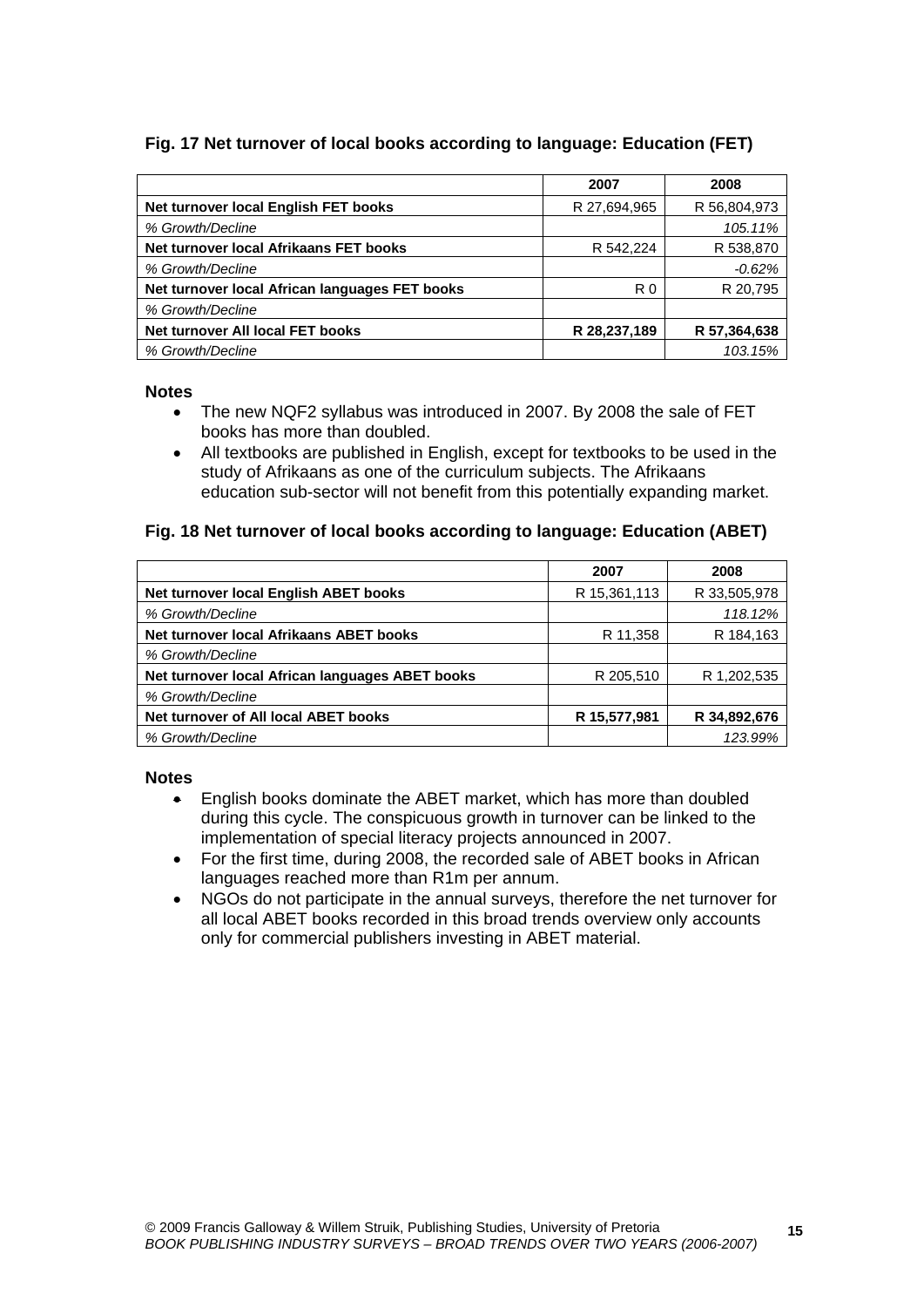# **Fig. 17 Net turnover of local books according to language: Education (FET)**

|                                                | 2007         | 2008         |
|------------------------------------------------|--------------|--------------|
| Net turnover local English FET books           | R 27,694,965 | R 56,804,973 |
| % Growth/Decline                               |              | 105.11%      |
| Net turnover local Afrikaans FET books         | R 542,224    | R 538,870    |
| % Growth/Decline                               |              | $-0.62%$     |
| Net turnover local African languages FET books | R0           | R 20,795     |
| % Growth/Decline                               |              |              |
| Net turnover All local FET books               | R 28,237,189 | R 57,364,638 |
| % Growth/Decline                               |              | 103.15%      |

#### **Notes**

- The new NQF2 syllabus was introduced in 2007. By 2008 the sale of FET books has more than doubled.
- All textbooks are published in English, except for textbooks to be used in the study of Afrikaans as one of the curriculum subjects. The Afrikaans education sub-sector will not benefit from this potentially expanding market.

## **Fig. 18 Net turnover of local books according to language: Education (ABET)**

|                                                 | 2007         | 2008         |
|-------------------------------------------------|--------------|--------------|
| Net turnover local English ABET books           | R 15,361,113 | R 33,505,978 |
| % Growth/Decline                                |              | 118.12%      |
| Net turnover local Afrikaans ABET books         | R 11,358     | R 184,163    |
| % Growth/Decline                                |              |              |
| Net turnover local African languages ABET books | R 205,510    | R 1,202,535  |
| % Growth/Decline                                |              |              |
| Net turnover of All local ABET books            | R 15,577,981 | R 34,892,676 |
| % Growth/Decline                                |              | 123.99%      |

- English books dominate the ABET market, which has more than doubled during this cycle. The conspicuous growth in turnover can be linked to the implementation of special literacy projects announced in 2007.
- For the first time, during 2008, the recorded sale of ABET books in African languages reached more than R1m per annum.
- NGOs do not participate in the annual surveys, therefore the net turnover for all local ABET books recorded in this broad trends overview only accounts only for commercial publishers investing in ABET material.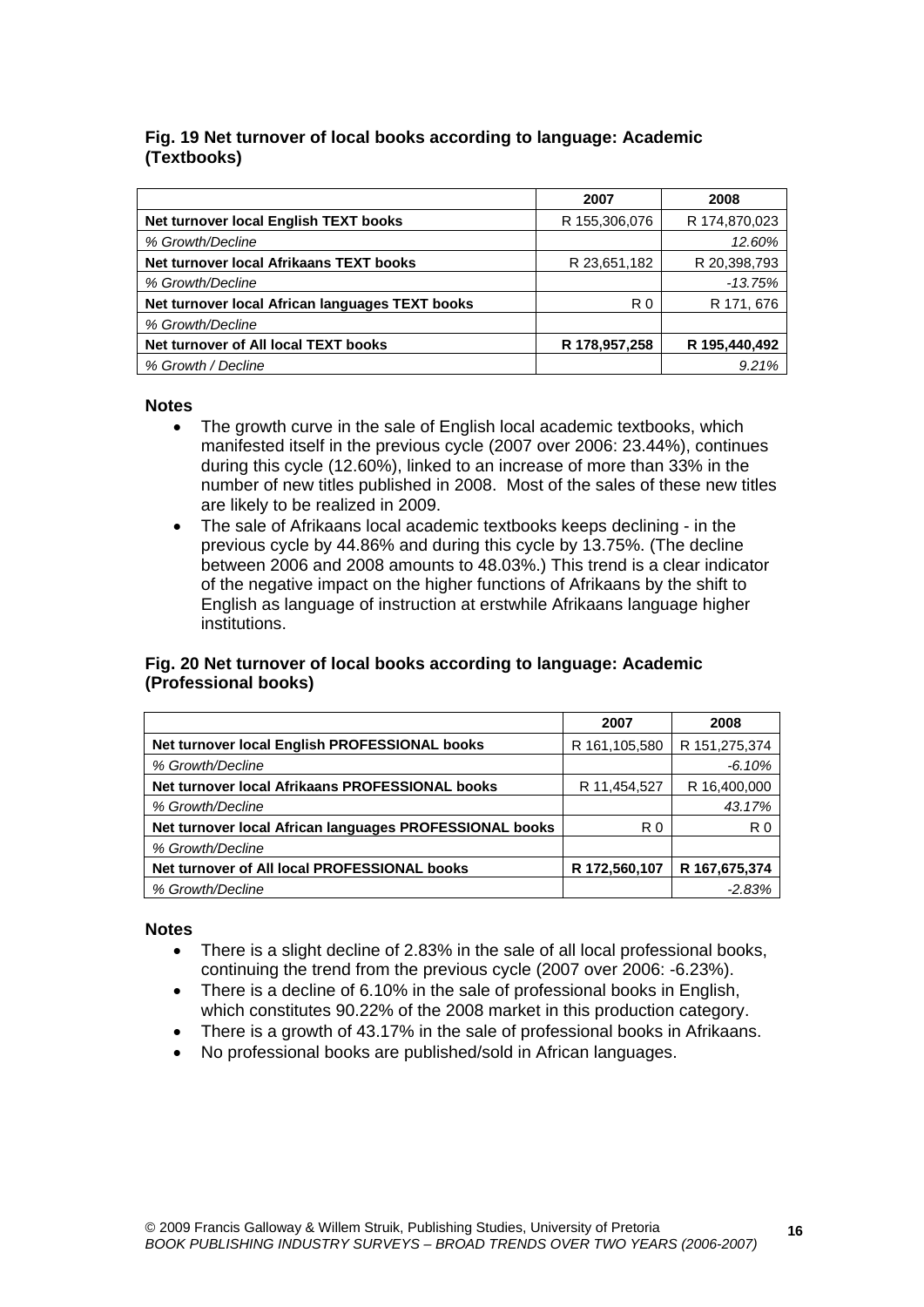# **Fig. 19 Net turnover of local books according to language: Academic (Textbooks)**

|                                                 | 2007           | 2008          |
|-------------------------------------------------|----------------|---------------|
| Net turnover local English TEXT books           | R 155,306,076  | R 174,870,023 |
| % Growth/Decline                                |                | 12.60%        |
| Net turnover local Afrikaans TEXT books         | R 23,651,182   | R 20,398,793  |
| % Growth/Decline                                |                | $-13.75%$     |
| Net turnover local African languages TEXT books | R <sub>0</sub> | R 171, 676    |
| % Growth/Decline                                |                |               |
| Net turnover of All local TEXT books            | R 178,957,258  | R 195,440,492 |
| % Growth / Decline                              |                | 9.21%         |

#### **Notes**

- The growth curve in the sale of English local academic textbooks, which manifested itself in the previous cycle (2007 over 2006: 23.44%), continues during this cycle (12.60%), linked to an increase of more than 33% in the number of new titles published in 2008. Most of the sales of these new titles are likely to be realized in 2009.
- The sale of Afrikaans local academic textbooks keeps declining in the previous cycle by 44.86% and during this cycle by 13.75%. (The decline between 2006 and 2008 amounts to 48.03%.) This trend is a clear indicator of the negative impact on the higher functions of Afrikaans by the shift to English as language of instruction at erstwhile Afrikaans language higher institutions.

## **Fig. 20 Net turnover of local books according to language: Academic (Professional books)**

|                                                         | 2007          | 2008          |
|---------------------------------------------------------|---------------|---------------|
| Net turnover local English PROFESSIONAL books           | R 161,105,580 | R 151,275,374 |
| % Growth/Decline                                        |               | $-6.10%$      |
| Net turnover local Afrikaans PROFESSIONAL books         | R 11,454,527  | R 16,400,000  |
| % Growth/Decline                                        |               | 43.17%        |
| Net turnover local African languages PROFESSIONAL books | R 0           | R0            |
| % Growth/Decline                                        |               |               |
| Net turnover of All local PROFESSIONAL books            | R 172,560,107 | R 167,675,374 |
| % Growth/Decline                                        |               | $-2.83%$      |

- There is a slight decline of 2.83% in the sale of all local professional books, continuing the trend from the previous cycle (2007 over 2006: -6.23%).
- There is a decline of 6.10% in the sale of professional books in English, which constitutes 90.22% of the 2008 market in this production category.
- There is a growth of 43.17% in the sale of professional books in Afrikaans.
- No professional books are published/sold in African languages.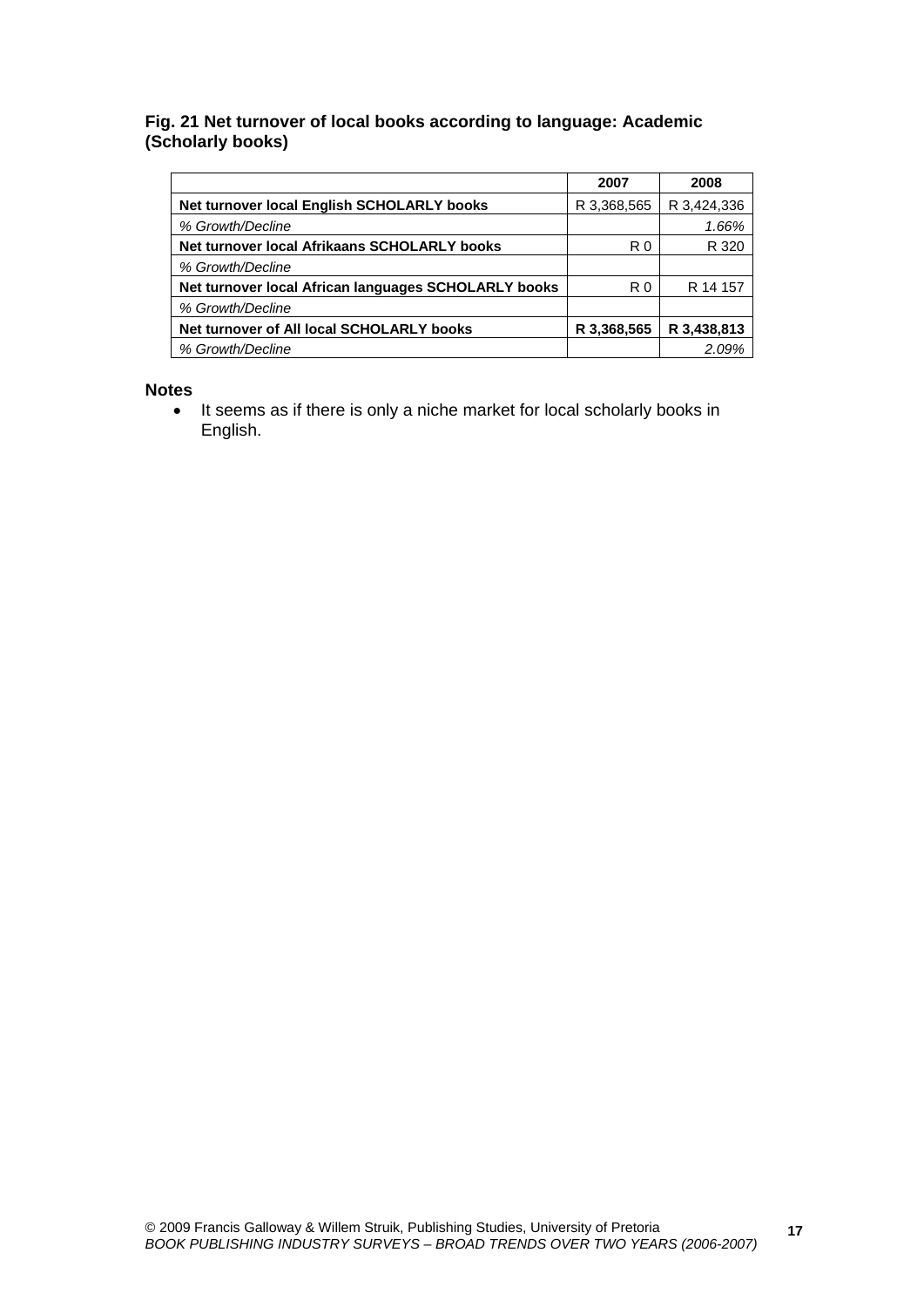## **Fig. 21 Net turnover of local books according to language: Academic (Scholarly books)**

|                                                      | 2007           | 2008        |
|------------------------------------------------------|----------------|-------------|
| Net turnover local English SCHOLARLY books           | R 3,368,565    | R 3,424,336 |
| % Growth/Decline                                     |                | 1.66%       |
| Net turnover local Afrikaans SCHOLARLY books         | R <sub>0</sub> | R 320       |
| % Growth/Decline                                     |                |             |
| Net turnover local African languages SCHOLARLY books | R <sub>0</sub> | R 14 157    |
| % Growth/Decline                                     |                |             |
| Net turnover of All local SCHOLARLY books            | R 3,368,565    | R 3,438,813 |
| % Growth/Decline                                     |                | 2.09%       |

#### **Notes**

• It seems as if there is only a niche market for local scholarly books in English.

**17**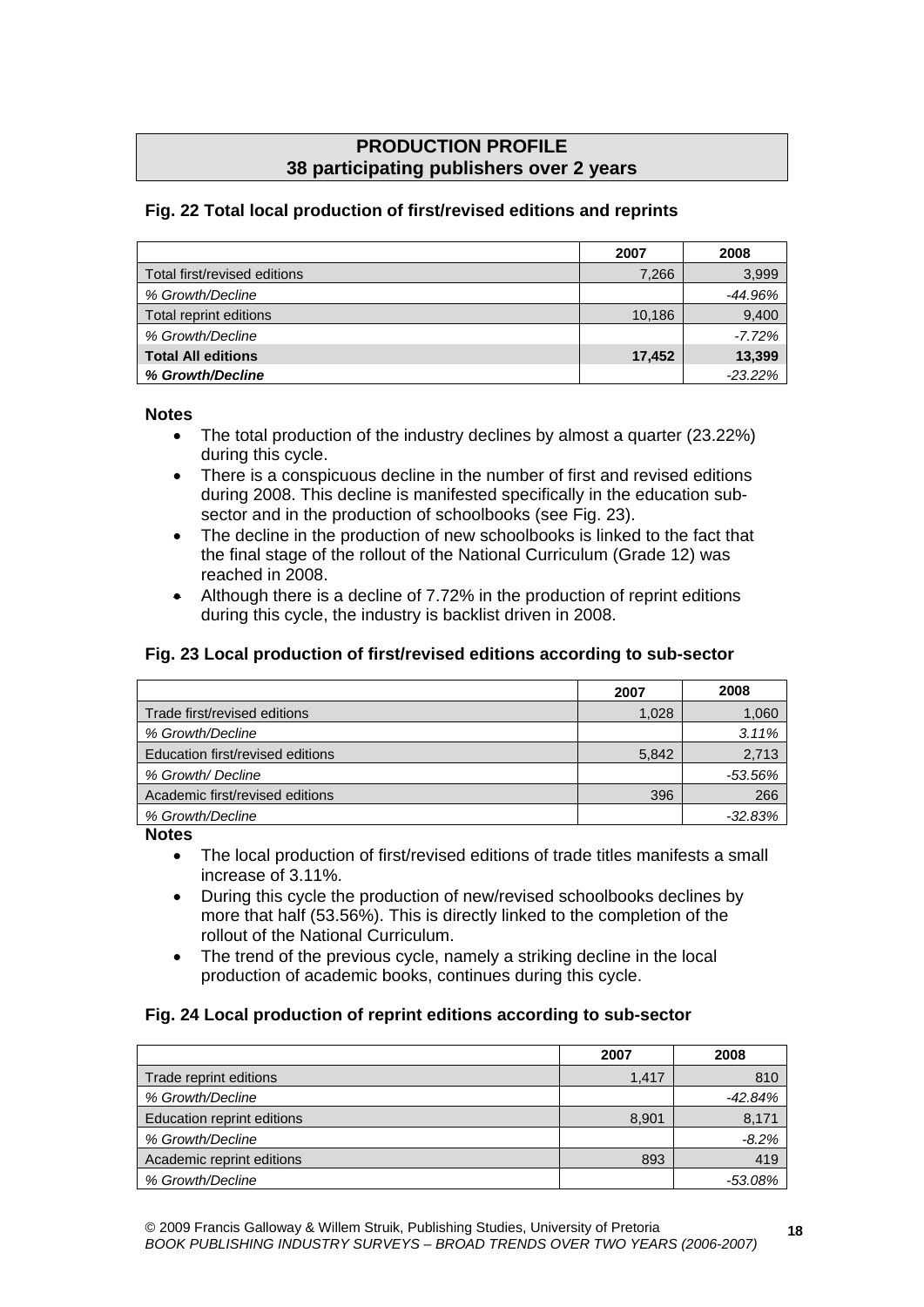# **PRODUCTION PROFILE 38 participating publishers over 2 years**

# **Fig. 22 Total local production of first/revised editions and reprints**

|                              | 2007   | 2008      |
|------------------------------|--------|-----------|
| Total first/revised editions | 7,266  | 3,999     |
| % Growth/Decline             |        | -44.96%   |
| Total reprint editions       | 10,186 | 9,400     |
| % Growth/Decline             |        | $-7.72%$  |
| <b>Total All editions</b>    | 17.452 | 13,399    |
| % Growth/Decline             |        | $-23.22%$ |

#### **Notes**

- The total production of the industry declines by almost a quarter (23.22%) during this cycle.
- There is a conspicuous decline in the number of first and revised editions during 2008. This decline is manifested specifically in the education subsector and in the production of schoolbooks (see Fig. 23).
- The decline in the production of new schoolbooks is linked to the fact that the final stage of the rollout of the National Curriculum (Grade 12) was reached in 2008.
- Although there is a decline of 7.72% in the production of reprint editions during this cycle, the industry is backlist driven in 2008.

# **Fig. 23 Local production of first/revised editions according to sub-sector**

|                                  | 2007  | 2008       |
|----------------------------------|-------|------------|
| Trade first/revised editions     | 1,028 | 1,060      |
| % Growth/Decline                 |       | 3.11%      |
| Education first/revised editions | 5.842 | 2,713      |
| % Growth/ Decline                |       | $-53.56\%$ |
| Academic first/revised editions  | 396   | 266        |
| % Growth/Decline                 |       | $-32.83%$  |

#### **Notes**

- The local production of first/revised editions of trade titles manifests a small increase of 3.11%.
- During this cycle the production of new/revised schoolbooks declines by more that half (53.56%). This is directly linked to the completion of the rollout of the National Curriculum.
- The trend of the previous cycle, namely a striking decline in the local production of academic books, continues during this cycle.

# **Fig. 24 Local production of reprint editions according to sub-sector**

|                            | 2007  | 2008      |
|----------------------------|-------|-----------|
| Trade reprint editions     | 1.417 | 810       |
| % Growth/Decline           |       | $-42.84%$ |
| Education reprint editions | 8,901 | 8,171     |
| % Growth/Decline           |       | $-8.2%$   |
| Academic reprint editions  | 893   | 419       |
| % Growth/Decline           |       | $-53.08%$ |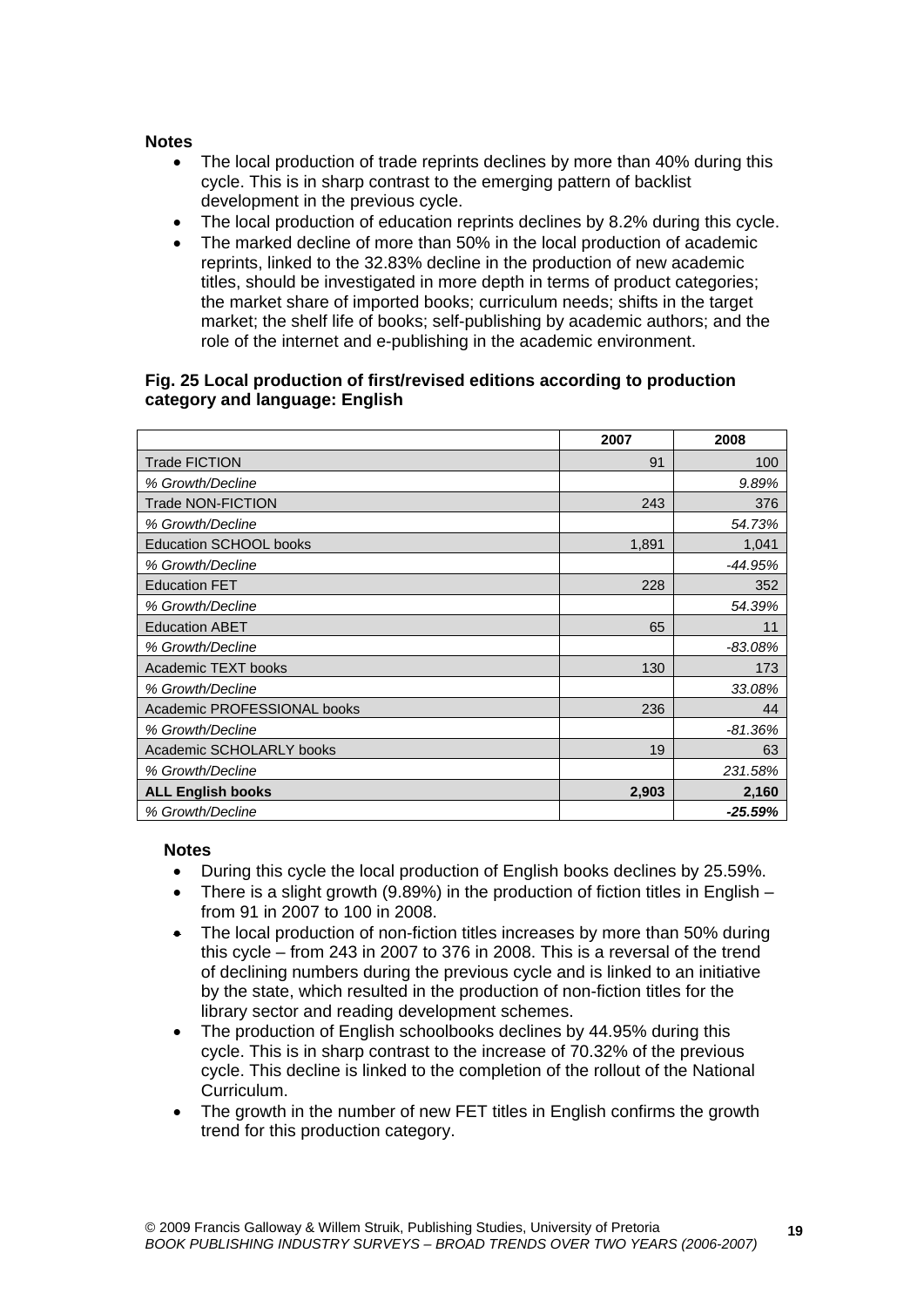#### **Notes**

- The local production of trade reprints declines by more than 40% during this cycle. This is in sharp contrast to the emerging pattern of backlist development in the previous cycle.
- The local production of education reprints declines by 8.2% during this cycle.
- The marked decline of more than 50% in the local production of academic reprints, linked to the 32.83% decline in the production of new academic titles, should be investigated in more depth in terms of product categories; the market share of imported books; curriculum needs; shifts in the target market; the shelf life of books; self-publishing by academic authors; and the role of the internet and e-publishing in the academic environment.

## **Fig. 25 Local production of first/revised editions according to production category and language: English**

|                               | 2007  | 2008      |
|-------------------------------|-------|-----------|
| <b>Trade FICTION</b>          | 91    | 100       |
| % Growth/Decline              |       | 9.89%     |
| <b>Trade NON-FICTION</b>      | 243   | 376       |
| % Growth/Decline              |       | 54.73%    |
| <b>Education SCHOOL books</b> | 1,891 | 1,041     |
| % Growth/Decline              |       | $-44.95%$ |
| <b>Education FET</b>          | 228   | 352       |
| % Growth/Decline              |       | 54.39%    |
| <b>Education ABET</b>         | 65    | 11        |
| % Growth/Decline              |       | $-83.08%$ |
| Academic TEXT books           | 130   | 173       |
| % Growth/Decline              |       | 33.08%    |
| Academic PROFESSIONAL books   | 236   | 44        |
| % Growth/Decline              |       | -81.36%   |
| Academic SCHOLARLY books      | 19    | 63        |
| % Growth/Decline              |       | 231.58%   |
| <b>ALL English books</b>      | 2,903 | 2,160     |
| % Growth/Decline              |       | $-25.59%$ |

- During this cycle the local production of English books declines by 25.59%.
- There is a slight growth (9.89%) in the production of fiction titles in English from 91 in 2007 to 100 in 2008.
- The local production of non-fiction titles increases by more than 50% during this cycle – from 243 in 2007 to 376 in 2008. This is a reversal of the trend of declining numbers during the previous cycle and is linked to an initiative by the state, which resulted in the production of non-fiction titles for the library sector and reading development schemes.
- The production of English schoolbooks declines by 44.95% during this cycle. This is in sharp contrast to the increase of 70.32% of the previous cycle. This decline is linked to the completion of the rollout of the National Curriculum.
- The growth in the number of new FET titles in English confirms the growth trend for this production category.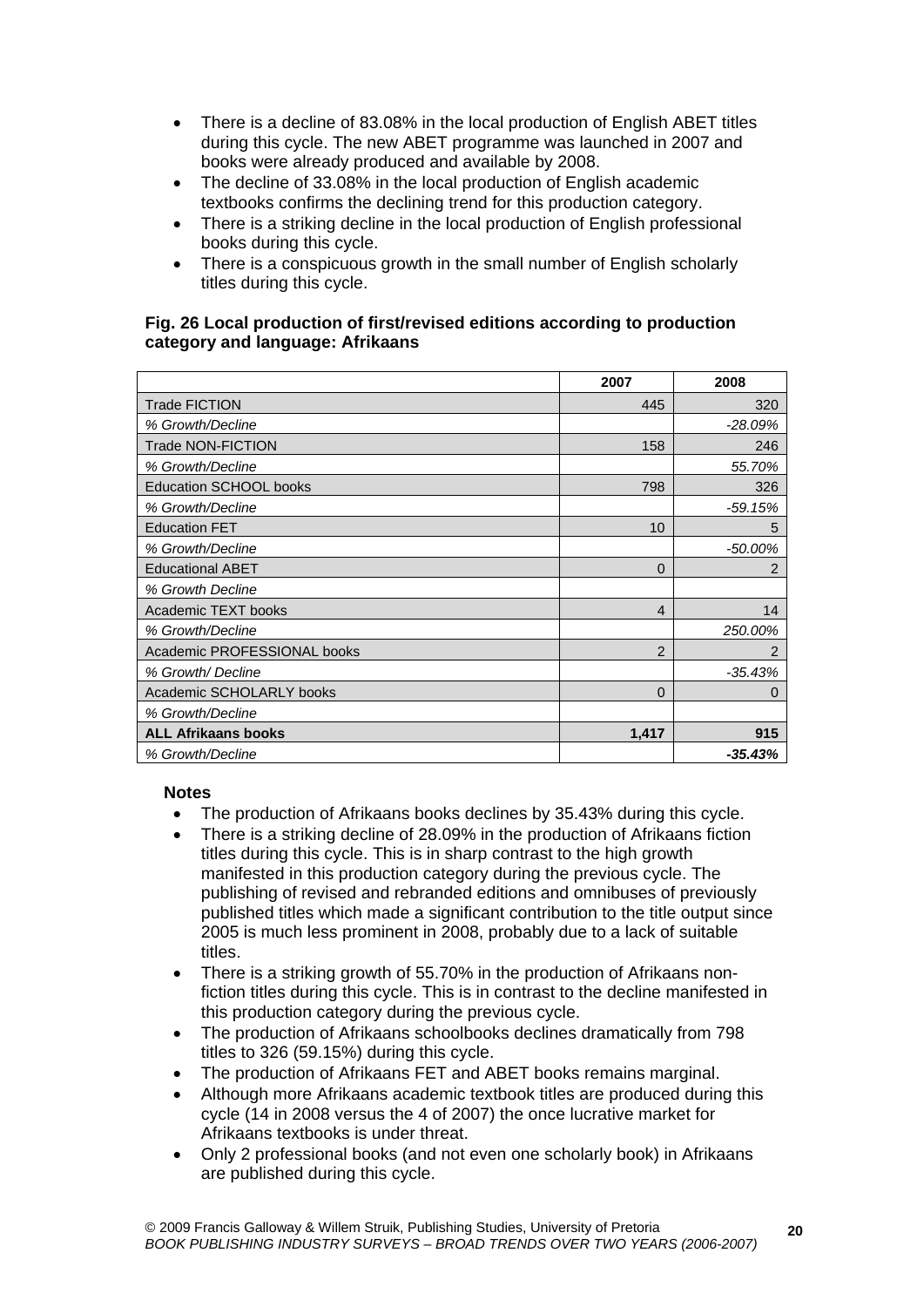- There is a decline of 83.08% in the local production of English ABET titles during this cycle. The new ABET programme was launched in 2007 and books were already produced and available by 2008.
- The decline of 33.08% in the local production of English academic textbooks confirms the declining trend for this production category.
- There is a striking decline in the local production of English professional books during this cycle.
- There is a conspicuous growth in the small number of English scholarly titles during this cycle.

## **Fig. 26 Local production of first/revised editions according to production category and language: Afrikaans**

|                               | 2007           | 2008      |
|-------------------------------|----------------|-----------|
| <b>Trade FICTION</b>          | 445            | 320       |
| % Growth/Decline              |                | $-28.09%$ |
| <b>Trade NON-FICTION</b>      | 158            | 246       |
| % Growth/Decline              |                | 55.70%    |
| <b>Education SCHOOL books</b> | 798            | 326       |
| % Growth/Decline              |                | $-59.15%$ |
| <b>Education FET</b>          | 10             | 5         |
| % Growth/Decline              |                | $-50.00%$ |
| <b>Educational ABET</b>       | $\Omega$       | 2         |
| % Growth Decline              |                |           |
| Academic TEXT books           | $\overline{4}$ | 14        |
| % Growth/Decline              |                | 250.00%   |
| Academic PROFESSIONAL books   | $\overline{2}$ | 2         |
| % Growth/Decline              |                | $-35.43%$ |
| Academic SCHOLARLY books      | $\Omega$       | 0         |
| % Growth/Decline              |                |           |
| <b>ALL Afrikaans books</b>    | 1,417          | 915       |
| % Growth/Decline              |                | $-35.43%$ |

- The production of Afrikaans books declines by 35.43% during this cycle.
- There is a striking decline of 28.09% in the production of Afrikaans fiction titles during this cycle. This is in sharp contrast to the high growth manifested in this production category during the previous cycle. The publishing of revised and rebranded editions and omnibuses of previously published titles which made a significant contribution to the title output since 2005 is much less prominent in 2008, probably due to a lack of suitable titles.
- There is a striking growth of 55.70% in the production of Afrikaans nonfiction titles during this cycle. This is in contrast to the decline manifested in this production category during the previous cycle.
- The production of Afrikaans schoolbooks declines dramatically from 798 titles to 326 (59.15%) during this cycle.
- The production of Afrikaans FET and ABET books remains marginal.
- Although more Afrikaans academic textbook titles are produced during this cycle (14 in 2008 versus the 4 of 2007) the once lucrative market for Afrikaans textbooks is under threat.
- Only 2 professional books (and not even one scholarly book) in Afrikaans are published during this cycle.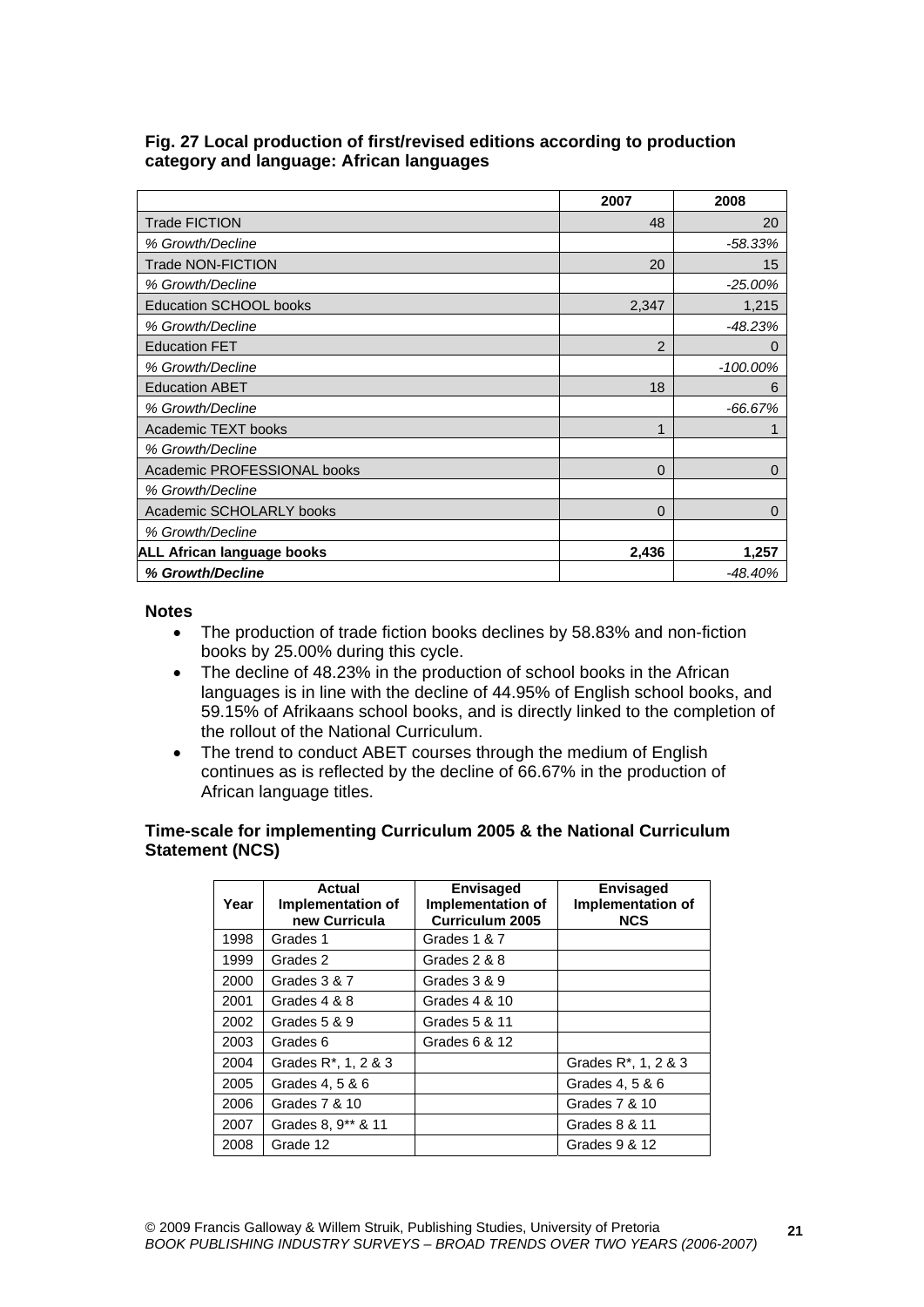|                                   | 2007           | 2008        |
|-----------------------------------|----------------|-------------|
| <b>Trade FICTION</b>              | 48             | 20          |
| % Growth/Decline                  |                | $-58.33%$   |
| Trade NON-FICTION                 | 20             | 15          |
| % Growth/Decline                  |                | $-25.00%$   |
| Education SCHOOL books            | 2,347          | 1,215       |
| % Growth/Decline                  |                | $-48.23%$   |
| <b>Education FET</b>              | $\overline{2}$ | 0           |
| % Growth/Decline                  |                | $-100.00\%$ |
| <b>Education ABET</b>             | 18             | 6           |
| % Growth/Decline                  |                | $-66.67%$   |
| Academic TEXT books               | 1              |             |
| % Growth/Decline                  |                |             |
| Academic PROFESSIONAL books       | 0              | $\Omega$    |
| % Growth/Decline                  |                |             |
| Academic SCHOLARLY books          | 0              | 0           |
| % Growth/Decline                  |                |             |
| <b>ALL African language books</b> | 2,436          | 1,257       |
| % Growth/Decline                  |                | $-48.40%$   |

## **Fig. 27 Local production of first/revised editions according to production category and language: African languages**

#### **Notes**

- The production of trade fiction books declines by 58.83% and non-fiction books by 25.00% during this cycle.
- The decline of 48.23% in the production of school books in the African languages is in line with the decline of 44.95% of English school books, and 59.15% of Afrikaans school books, and is directly linked to the completion of the rollout of the National Curriculum.
- The trend to conduct ABET courses through the medium of English continues as is reflected by the decline of 66.67% in the production of African language titles.

#### **Time-scale for implementing Curriculum 2005 & the National Curriculum Statement (NCS)**

| Year | Actual<br>Implementation of<br>new Curricula | <b>Envisaged</b><br>Implementation of<br><b>Curriculum 2005</b> | <b>Envisaged</b><br>Implementation of<br><b>NCS</b> |
|------|----------------------------------------------|-----------------------------------------------------------------|-----------------------------------------------------|
| 1998 | Grades 1                                     | Grades 1 & 7                                                    |                                                     |
| 1999 | Grades 2                                     | Grades 2 & 8                                                    |                                                     |
| 2000 | Grades 3 & 7                                 | Grades 3 & 9                                                    |                                                     |
| 2001 | Grades 4 & 8                                 | Grades 4 & 10                                                   |                                                     |
| 2002 | Grades 5 & 9                                 | Grades 5 & 11                                                   |                                                     |
| 2003 | Grades 6                                     | Grades 6 & 12                                                   |                                                     |
| 2004 | Grades R <sup>*</sup> , 1, 2 & 3             |                                                                 | Grades R <sup>*</sup> , 1, 2 & 3                    |
| 2005 | Grades 4, 5 & 6                              |                                                                 | Grades 4, 5 & 6                                     |
| 2006 | Grades 7 & 10                                |                                                                 | Grades 7 & 10                                       |
| 2007 | Grades 8, 9** & 11                           |                                                                 | Grades 8 & 11                                       |
| 2008 | Grade 12                                     |                                                                 | Grades 9 & 12                                       |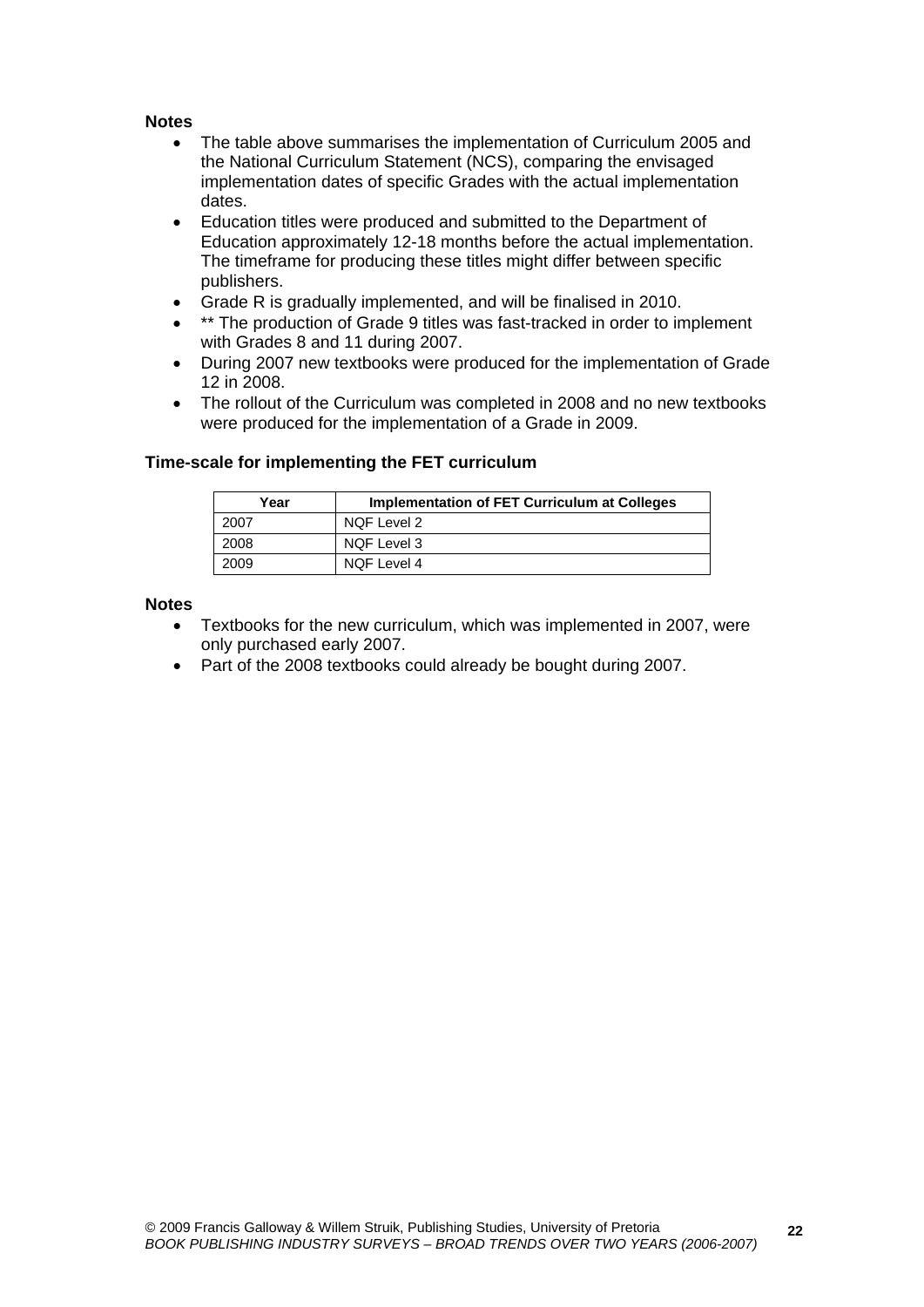#### **Notes**

- The table above summarises the implementation of Curriculum 2005 and the National Curriculum Statement (NCS), comparing the envisaged implementation dates of specific Grades with the actual implementation dates.
- Education titles were produced and submitted to the Department of Education approximately 12-18 months before the actual implementation. The timeframe for producing these titles might differ between specific publishers.
- Grade R is gradually implemented, and will be finalised in 2010.
- \*\* The production of Grade 9 titles was fast-tracked in order to implement with Grades 8 and 11 during 2007.
- During 2007 new textbooks were produced for the implementation of Grade 12 in 2008.
- The rollout of the Curriculum was completed in 2008 and no new textbooks were produced for the implementation of a Grade in 2009.

| Year | Implementation of FET Curriculum at Colleges |
|------|----------------------------------------------|
| 2007 | NQF Level 2                                  |
| 2008 | NQF Level 3                                  |
| 2009 | NQF Level 4                                  |

## **Time-scale for implementing the FET curriculum**

- Textbooks for the new curriculum, which was implemented in 2007, were only purchased early 2007.
- Part of the 2008 textbooks could already be bought during 2007.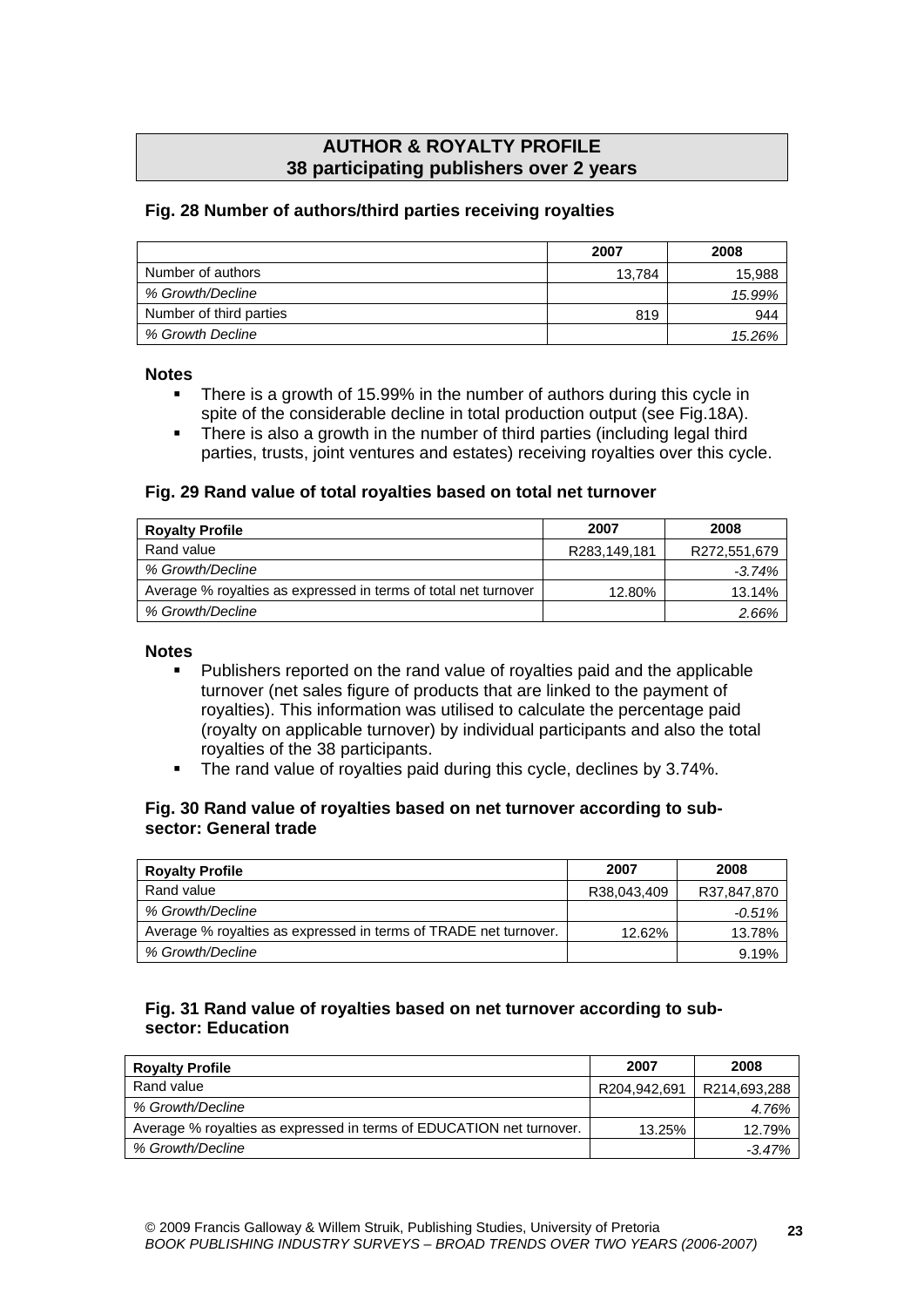# **AUTHOR & ROYALTY PROFILE 38 participating publishers over 2 years**

## **Fig. 28 Number of authors/third parties receiving royalties**

|                         | 2007   | 2008   |
|-------------------------|--------|--------|
| Number of authors       | 13.784 | 15,988 |
| % Growth/Decline        |        | 15.99% |
| Number of third parties | 819    | 944    |
| % Growth Decline        |        | 15.26% |

#### **Notes**

- There is a growth of 15.99% in the number of authors during this cycle in spite of the considerable decline in total production output (see Fig.18A).
- There is also a growth in the number of third parties (including legal third parties, trusts, joint ventures and estates) receiving royalties over this cycle.

## **Fig. 29 Rand value of total royalties based on total net turnover**

| <b>Royalty Profile</b>                                          | 2007         | 2008         |
|-----------------------------------------------------------------|--------------|--------------|
| Rand value                                                      | R283.149.181 | R272,551,679 |
| % Growth/Decline                                                |              | -3.74%       |
| Average % royalties as expressed in terms of total net turnover | 12.80%       | 13.14%       |
| % Growth/Decline                                                |              | 2.66%        |

#### **Notes**

- Publishers reported on the rand value of royalties paid and the applicable turnover (net sales figure of products that are linked to the payment of royalties). This information was utilised to calculate the percentage paid (royalty on applicable turnover) by individual participants and also the total royalties of the 38 participants.
- The rand value of royalties paid during this cycle, declines by 3.74%.

## **Fig. 30 Rand value of royalties based on net turnover according to subsector: General trade**

| <b>Royalty Profile</b>                                           | 2007        | 2008        |
|------------------------------------------------------------------|-------------|-------------|
| Rand value                                                       | R38.043.409 | R37,847,870 |
| % Growth/Decline                                                 |             | -0.51%      |
| Average % royalties as expressed in terms of TRADE net turnover. | 12.62%      | 13.78%      |
| % Growth/Decline                                                 |             | 9.19%       |

#### **Fig. 31 Rand value of royalties based on net turnover according to subsector: Education**

| <b>Royalty Profile</b>                                               | 2007         | 2008         |
|----------------------------------------------------------------------|--------------|--------------|
| Rand value                                                           | R204.942.691 | R214,693,288 |
| % Growth/Decline                                                     |              | 4.76%        |
| Average % royalties as expressed in terms of EDUCATION net turnover. | 13.25%       | 12.79%       |
| % Growth/Decline                                                     |              | -3.47%       |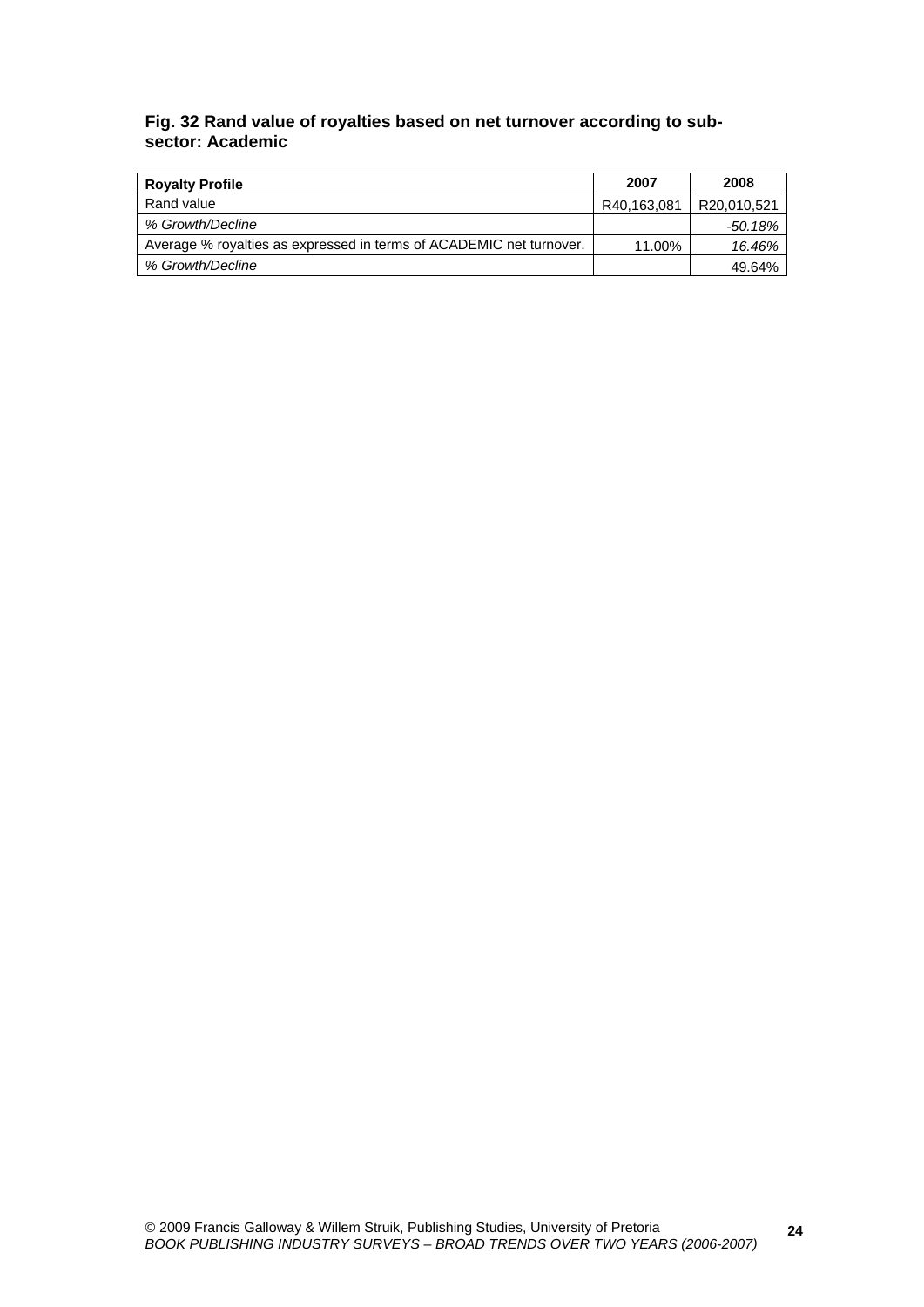# **Fig. 32 Rand value of royalties based on net turnover according to subsector: Academic**

| <b>Royalty Profile</b>                                              | 2007        | 2008        |
|---------------------------------------------------------------------|-------------|-------------|
| Rand value                                                          | R40.163.081 | R20.010.521 |
| % Growth/Decline                                                    |             | -50.18%     |
| Average % royalties as expressed in terms of ACADEMIC net turnover. | 11.00%      | 16.46%      |
| % Growth/Decline                                                    |             | 49.64%      |

**24**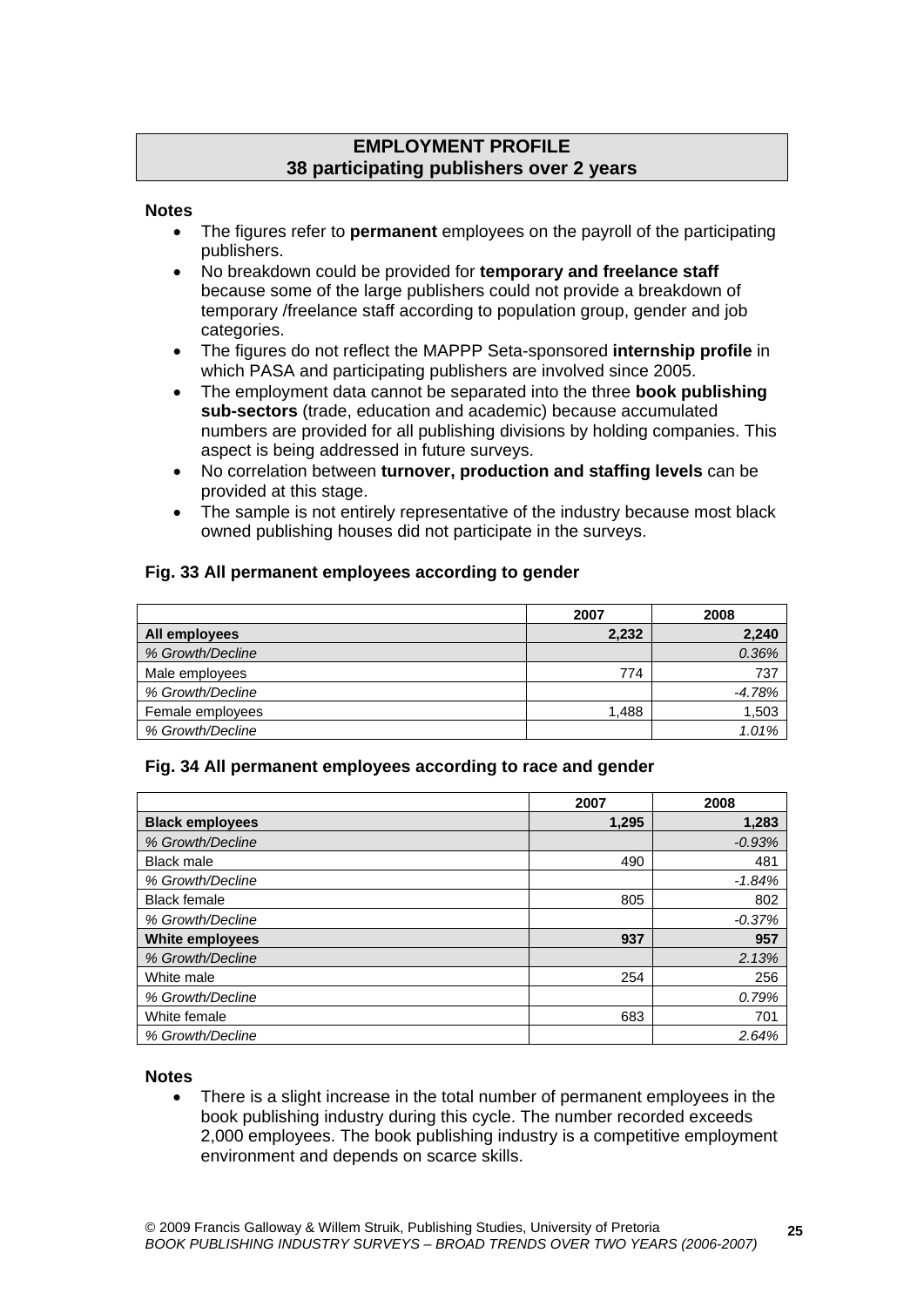# **EMPLOYMENT PROFILE 38 participating publishers over 2 years**

#### **Notes**

- The figures refer to **permanent** employees on the payroll of the participating publishers.
- No breakdown could be provided for **temporary and freelance staff** because some of the large publishers could not provide a breakdown of temporary /freelance staff according to population group, gender and job categories.
- The figures do not reflect the MAPPP Seta-sponsored **internship profile** in which PASA and participating publishers are involved since 2005.
- The employment data cannot be separated into the three **book publishing sub-sectors** (trade, education and academic) because accumulated numbers are provided for all publishing divisions by holding companies. This aspect is being addressed in future surveys.
- No correlation between **turnover, production and staffing levels** can be provided at this stage.
- The sample is not entirely representative of the industry because most black owned publishing houses did not participate in the surveys.

# **Fig. 33 All permanent employees according to gender**

|                  | 2007  | 2008     |
|------------------|-------|----------|
| All employees    | 2,232 | 2,240    |
| % Growth/Decline |       | 0.36%    |
| Male employees   | 774   | 737      |
| % Growth/Decline |       | $-4.78%$ |
| Female employees | 1.488 | 1,503    |
| % Growth/Decline |       | 1.01%    |

## **Fig. 34 All permanent employees according to race and gender**

|                        | 2007  | 2008     |
|------------------------|-------|----------|
| <b>Black employees</b> | 1,295 | 1,283    |
| % Growth/Decline       |       | $-0.93%$ |
| <b>Black male</b>      | 490   | 481      |
| % Growth/Decline       |       | $-1.84%$ |
| <b>Black female</b>    | 805   | 802      |
| % Growth/Decline       |       | $-0.37%$ |
| <b>White employees</b> | 937   | 957      |
| % Growth/Decline       |       | 2.13%    |
| White male             | 254   | 256      |
| % Growth/Decline       |       | 0.79%    |
| White female           | 683   | 701      |
| % Growth/Decline       |       | 2.64%    |

#### **Notes**

 There is a slight increase in the total number of permanent employees in the book publishing industry during this cycle. The number recorded exceeds 2,000 employees. The book publishing industry is a competitive employment environment and depends on scarce skills.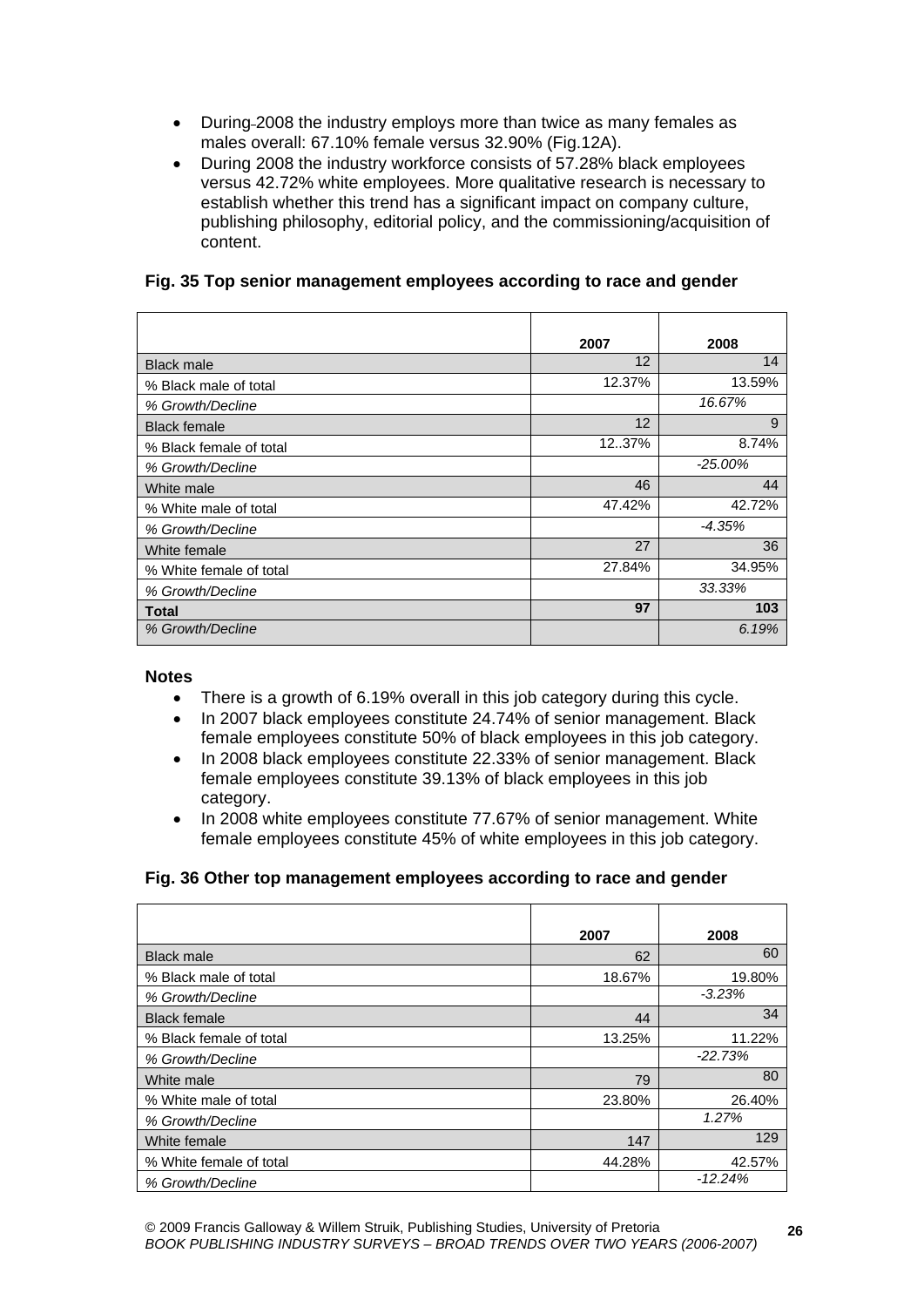- During 2008 the industry employs more than twice as many females as males overall: 67.10% female versus 32.90% (Fig.12A).
- During 2008 the industry workforce consists of 57.28% black employees versus 42.72% white employees. More qualitative research is necessary to establish whether this trend has a significant impact on company culture, publishing philosophy, editorial policy, and the commissioning/acquisition of content.

# **Fig. 35 Top senior management employees according to race and gender**

|                         | 2007   | 2008       |
|-------------------------|--------|------------|
| <b>Black male</b>       | 12     | 14         |
| % Black male of total   | 12.37% | 13.59%     |
| % Growth/Decline        |        | 16.67%     |
| <b>Black female</b>     | 12     | 9          |
| % Black female of total | 1237%  | 8.74%      |
| % Growth/Decline        |        | $-25.00\%$ |
| White male              | 46     | 44         |
| % White male of total   | 47.42% | 42.72%     |
| % Growth/Decline        |        | $-4.35%$   |
| White female            | 27     | 36         |
| % White female of total | 27.84% | 34.95%     |
| % Growth/Decline        |        | 33.33%     |
| Total                   | 97     | 103        |
| % Growth/Decline        |        | 6.19%      |

## **Notes**

- There is a growth of 6.19% overall in this job category during this cycle.
- In 2007 black employees constitute 24.74% of senior management. Black female employees constitute 50% of black employees in this job category.
- In 2008 black employees constitute 22.33% of senior management. Black female employees constitute 39.13% of black employees in this job category.
- In 2008 white employees constitute 77.67% of senior management. White female employees constitute 45% of white employees in this job category.

## **Fig. 36 Other top management employees according to race and gender**

|                         | 2007   | 2008      |
|-------------------------|--------|-----------|
| <b>Black male</b>       | 62     | 60        |
| % Black male of total   | 18.67% | 19.80%    |
| % Growth/Decline        |        | $-3.23%$  |
| <b>Black female</b>     | 44     | 34        |
| % Black female of total | 13.25% | 11.22%    |
| % Growth/Decline        |        | $-22.73%$ |
| White male              | 79     | 80        |
| % White male of total   | 23.80% | 26.40%    |
| % Growth/Decline        |        | 1.27%     |
| White female            | 147    | 129       |
| % White female of total | 44.28% | 42.57%    |
| % Growth/Decline        |        | $-12.24%$ |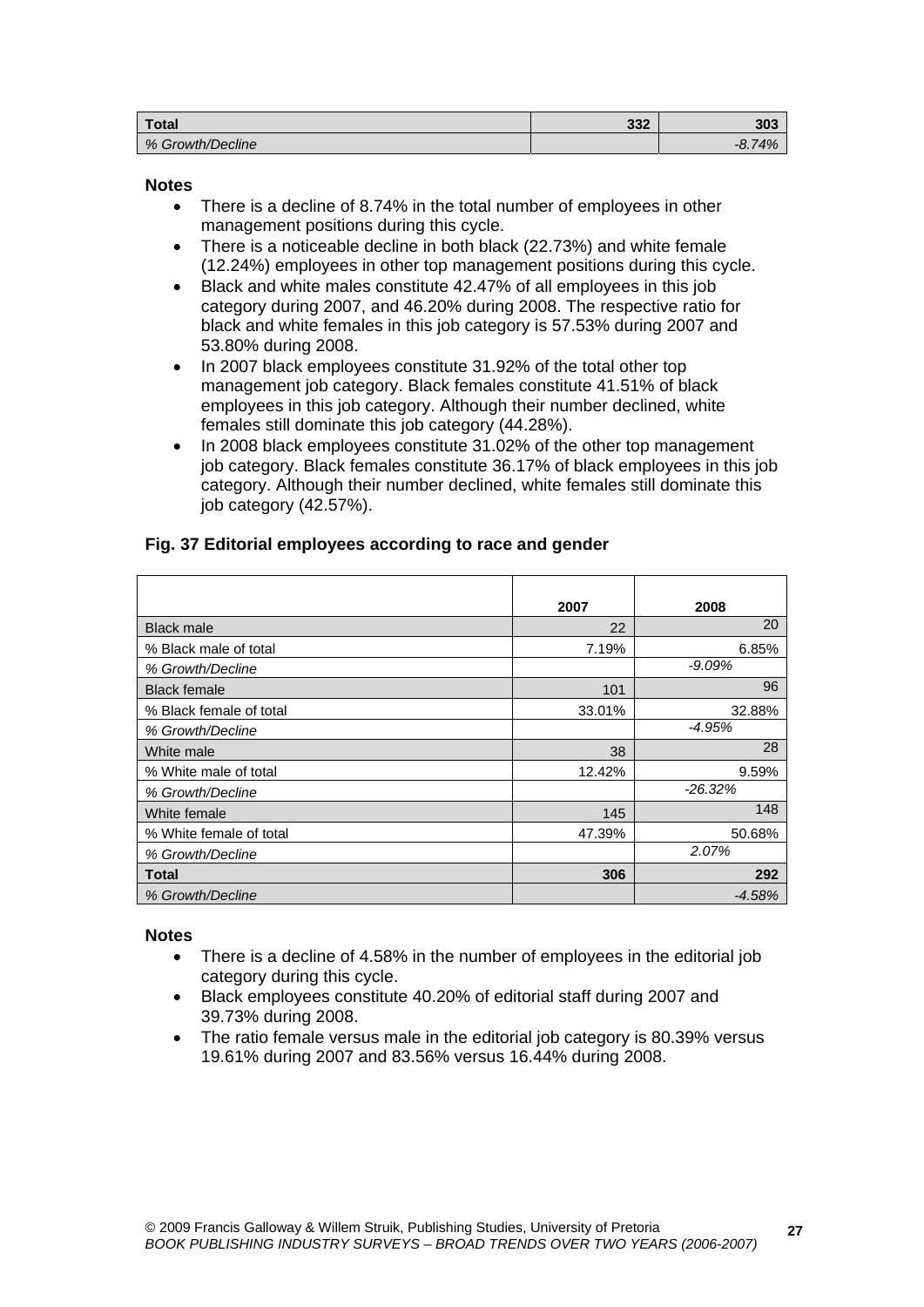| <b>Total</b>     | າາາ<br>ാാ∠ | 303              |
|------------------|------------|------------------|
| % Growth/Decline |            | 8.74%<br>$-0.19$ |

#### **Notes**

- There is a decline of 8.74% in the total number of employees in other management positions during this cycle.
- There is a noticeable decline in both black (22.73%) and white female (12.24%) employees in other top management positions during this cycle.
- Black and white males constitute 42.47% of all employees in this job category during 2007, and 46.20% during 2008. The respective ratio for black and white females in this job category is 57.53% during 2007 and 53.80% during 2008.
- In 2007 black employees constitute 31.92% of the total other top management job category. Black females constitute 41.51% of black employees in this job category. Although their number declined, white females still dominate this job category (44.28%).
- In 2008 black employees constitute 31.02% of the other top management job category. Black females constitute 36.17% of black employees in this job category. Although their number declined, white females still dominate this job category (42.57%).

|                         | 2007   | 2008       |
|-------------------------|--------|------------|
| <b>Black male</b>       | 22     | 20         |
| % Black male of total   | 7.19%  | 6.85%      |
| % Growth/Decline        |        | -9.09%     |
| <b>Black female</b>     | 101    | 96         |
| % Black female of total | 33.01% | 32.88%     |
| % Growth/Decline        |        | -4.95%     |
| White male              | 38     | 28         |
| % White male of total   | 12.42% | 9.59%      |
| % Growth/Decline        |        | $-26.32\%$ |
| White female            | 145    | 148        |
| % White female of total | 47.39% | 50.68%     |
| % Growth/Decline        |        | 2.07%      |
| <b>Total</b>            | 306    | 292        |
| % Growth/Decline        |        | $-4.58%$   |

# **Fig. 37 Editorial employees according to race and gender**

- There is a decline of 4.58% in the number of employees in the editorial job category during this cycle.
- Black employees constitute 40.20% of editorial staff during 2007 and 39.73% during 2008.
- The ratio female versus male in the editorial job category is 80.39% versus 19.61% during 2007 and 83.56% versus 16.44% during 2008.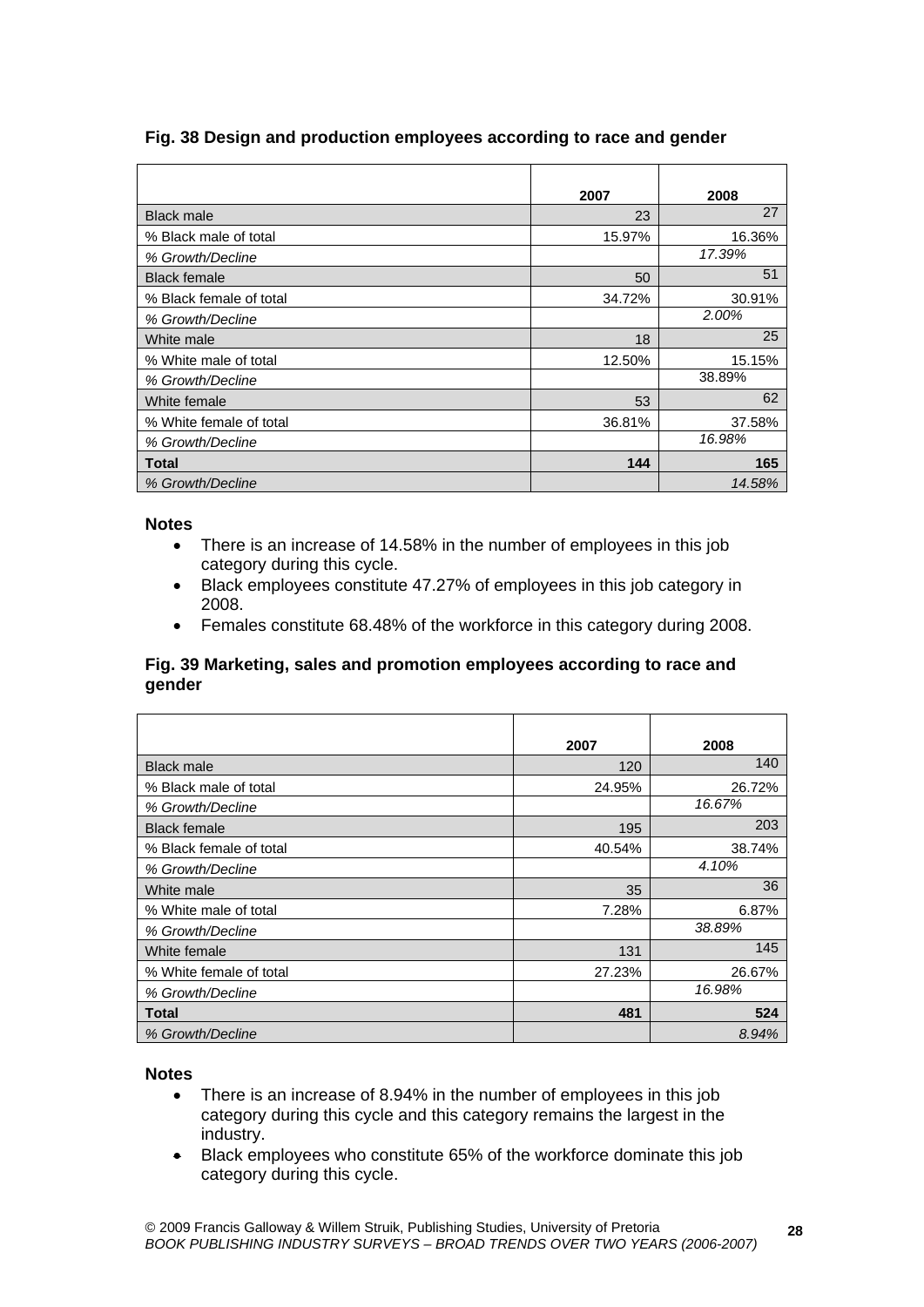|                         | 2007   | 2008   |
|-------------------------|--------|--------|
| <b>Black male</b>       | 23     | 27     |
| % Black male of total   | 15.97% | 16.36% |
| % Growth/Decline        |        | 17.39% |
| <b>Black female</b>     | 50     | 51     |
| % Black female of total | 34.72% | 30.91% |
| % Growth/Decline        |        | 2.00%  |
| White male              | 18     | 25     |
| % White male of total   | 12.50% | 15.15% |
| % Growth/Decline        |        | 38.89% |
| White female            | 53     | 62     |
| % White female of total | 36.81% | 37.58% |
| % Growth/Decline        |        | 16.98% |
| Total                   | 144    | 165    |
| % Growth/Decline        |        | 14.58% |

# **Fig. 38 Design and production employees according to race and gender**

#### **Notes**

- There is an increase of 14.58% in the number of employees in this job category during this cycle.
- Black employees constitute 47.27% of employees in this job category in 2008.
- Females constitute 68.48% of the workforce in this category during 2008.

# **Fig. 39 Marketing, sales and promotion employees according to race and gender**

|                         | 2007   | 2008   |
|-------------------------|--------|--------|
| <b>Black male</b>       | 120    | 140    |
| % Black male of total   | 24.95% | 26.72% |
| % Growth/Decline        |        | 16.67% |
| <b>Black female</b>     | 195    | 203    |
| % Black female of total | 40.54% | 38.74% |
| % Growth/Decline        |        | 4.10%  |
| White male              | 35     | 36     |
| % White male of total   | 7.28%  | 6.87%  |
| % Growth/Decline        |        | 38.89% |
| White female            | 131    | 145    |
| % White female of total | 27.23% | 26.67% |
| % Growth/Decline        |        | 16.98% |
| Total                   | 481    | 524    |
| % Growth/Decline        |        | 8.94%  |

- There is an increase of 8.94% in the number of employees in this job category during this cycle and this category remains the largest in the industry.
- Black employees who constitute 65% of the workforce dominate this job category during this cycle.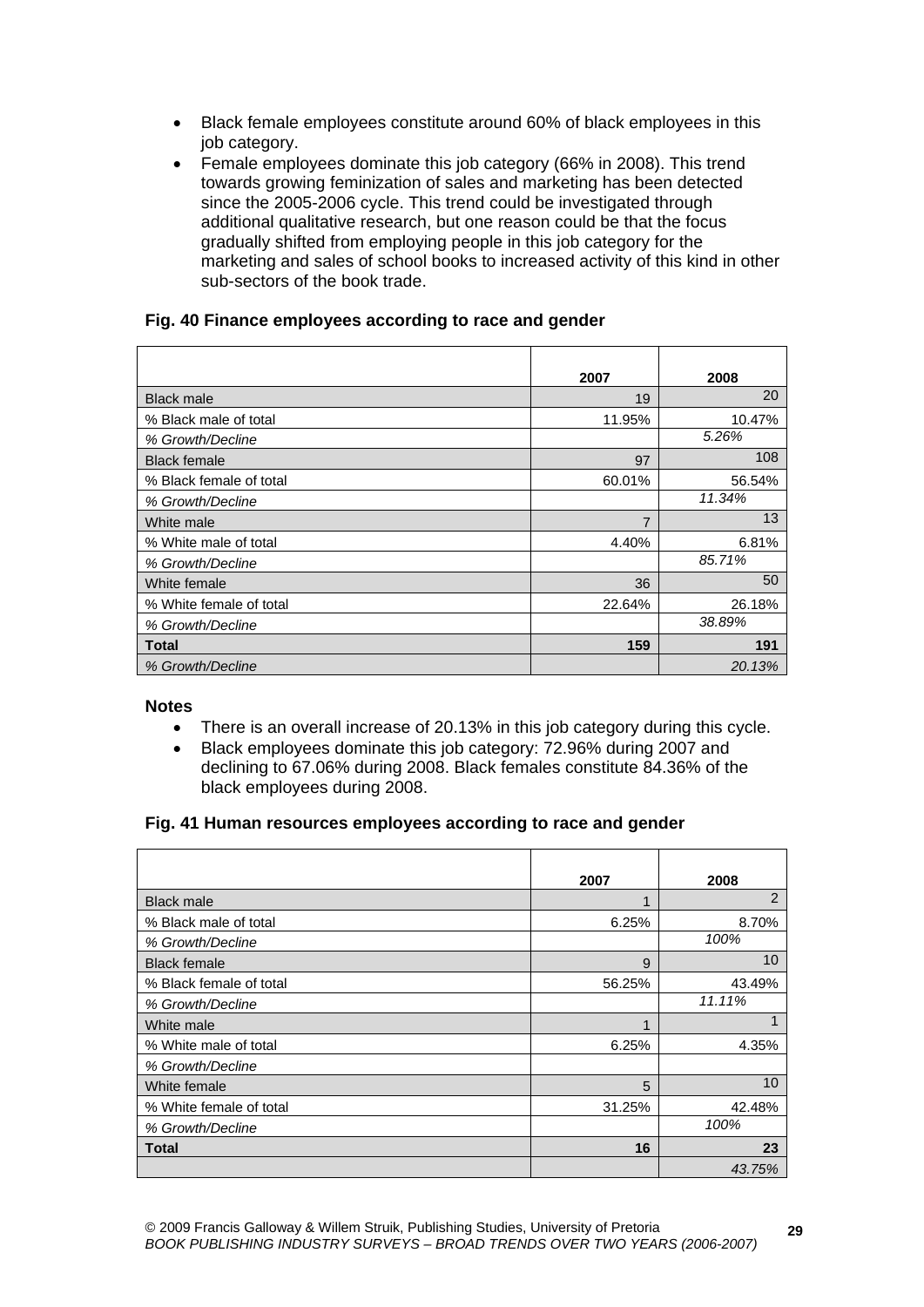- Black female employees constitute around 60% of black employees in this job category.
- Female employees dominate this job category (66% in 2008). This trend towards growing feminization of sales and marketing has been detected since the 2005-2006 cycle. This trend could be investigated through additional qualitative research, but one reason could be that the focus gradually shifted from employing people in this job category for the marketing and sales of school books to increased activity of this kind in other sub-sectors of the book trade.

# **Fig. 40 Finance employees according to race and gender**

|                         | 2007           | 2008   |
|-------------------------|----------------|--------|
| <b>Black male</b>       | 19             | 20     |
| % Black male of total   | 11.95%         | 10.47% |
| % Growth/Decline        |                | 5.26%  |
| <b>Black female</b>     | 97             | 108    |
| % Black female of total | 60.01%         | 56.54% |
| % Growth/Decline        |                | 11.34% |
| White male              | $\overline{7}$ | 13     |
| % White male of total   | 4.40%          | 6.81%  |
| % Growth/Decline        |                | 85.71% |
| White female            | 36             | 50     |
| % White female of total | 22.64%         | 26.18% |
| % Growth/Decline        |                | 38.89% |
| Total                   | 159            | 191    |
| % Growth/Decline        |                | 20.13% |

#### **Notes**

- There is an overall increase of 20.13% in this job category during this cycle.
- Black employees dominate this job category: 72.96% during 2007 and declining to 67.06% during 2008. Black females constitute 84.36% of the black employees during 2008.

## **Fig. 41 Human resources employees according to race and gender**

|                         | 2007   | 2008   |
|-------------------------|--------|--------|
| <b>Black male</b>       | 4      | 2      |
| % Black male of total   | 6.25%  | 8.70%  |
| % Growth/Decline        |        | 100%   |
| <b>Black female</b>     | 9      | 10     |
| % Black female of total | 56.25% | 43.49% |
| % Growth/Decline        |        | 11.11% |
| White male              | 1      | 1      |
| % White male of total   | 6.25%  | 4.35%  |
| % Growth/Decline        |        |        |
| White female            | 5      | 10     |
| % White female of total | 31.25% | 42.48% |
| % Growth/Decline        |        | 100%   |
| Total                   | 16     | 23     |
|                         |        | 43.75% |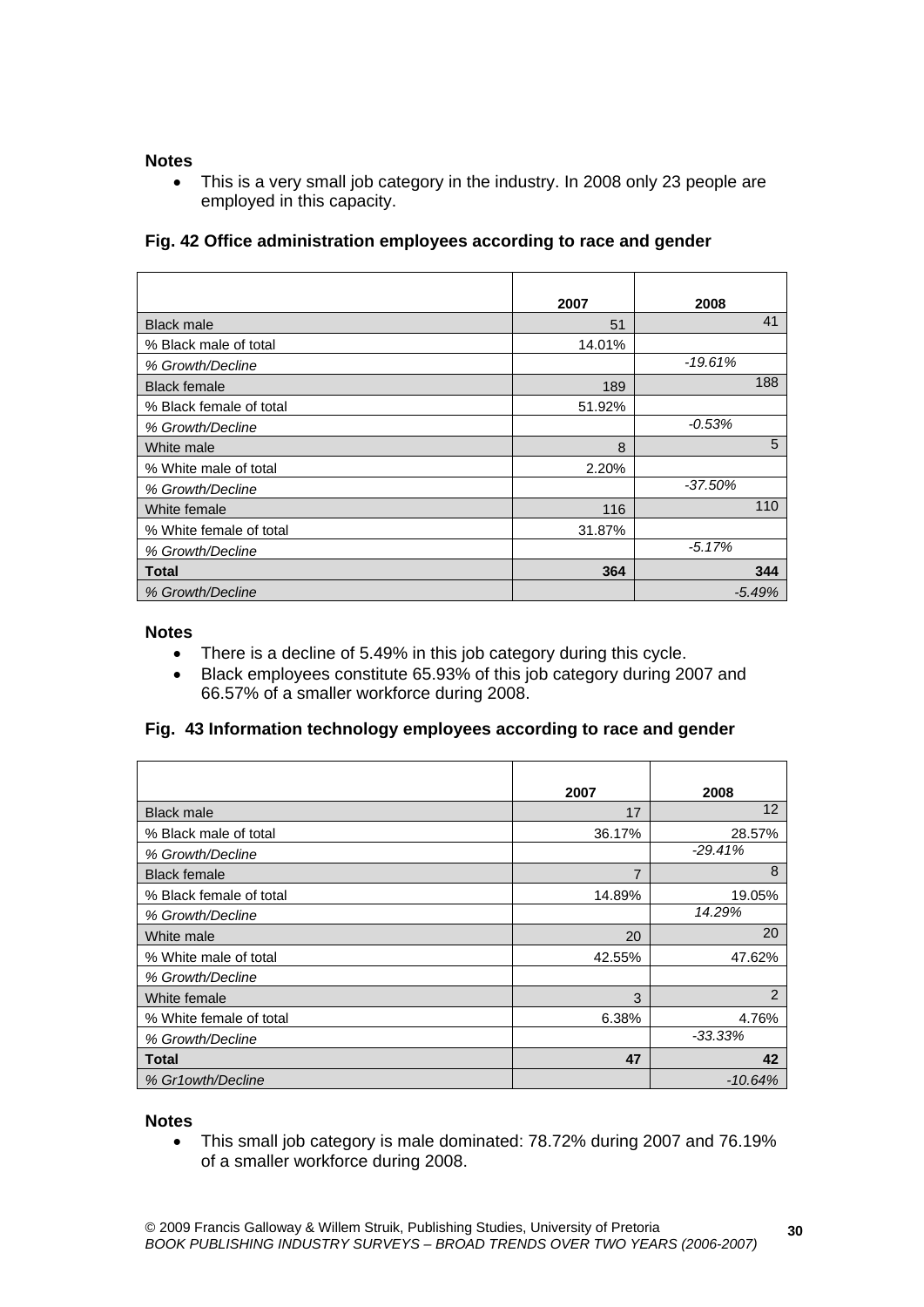#### **Notes**

• This is a very small job category in the industry. In 2008 only 23 people are employed in this capacity.

# **Fig. 42 Office administration employees according to race and gender**

|                         | 2007   | 2008       |
|-------------------------|--------|------------|
| <b>Black male</b>       | 51     | 41         |
| % Black male of total   | 14.01% |            |
| % Growth/Decline        |        | $-19.61%$  |
| <b>Black female</b>     | 189    | 188        |
| % Black female of total | 51.92% |            |
| % Growth/Decline        |        | $-0.53%$   |
| White male              | 8      | 5          |
| % White male of total   | 2.20%  |            |
| % Growth/Decline        |        | $-37.50\%$ |
| White female            | 116    | 110        |
| % White female of total | 31.87% |            |
| % Growth/Decline        |        | $-5.17%$   |
| Total                   | 364    | 344        |
| % Growth/Decline        |        | $-5.49%$   |

#### **Notes**

- There is a decline of 5.49% in this job category during this cycle.
- Black employees constitute 65.93% of this job category during 2007 and 66.57% of a smaller workforce during 2008.

## **Fig. 43 Information technology employees according to race and gender**

|                         | 2007           | 2008              |
|-------------------------|----------------|-------------------|
| <b>Black male</b>       | 17             | $12 \overline{ }$ |
| % Black male of total   | 36.17%         | 28.57%            |
| % Growth/Decline        |                | $-29.41%$         |
| <b>Black female</b>     | $\overline{7}$ | 8                 |
| % Black female of total | 14.89%         | 19.05%            |
| % Growth/Decline        |                | 14.29%            |
| White male              | 20             | 20                |
| % White male of total   | 42.55%         | 47.62%            |
| % Growth/Decline        |                |                   |
| White female            | 3              | 2                 |
| % White female of total | 6.38%          | 4.76%             |
| % Growth/Decline        |                | $-33.33\%$        |
| Total                   | 47             | 42                |
| % Gr1owth/Decline       |                | $-10.64%$         |

#### **Notes**

 This small job category is male dominated: 78.72% during 2007 and 76.19% of a smaller workforce during 2008.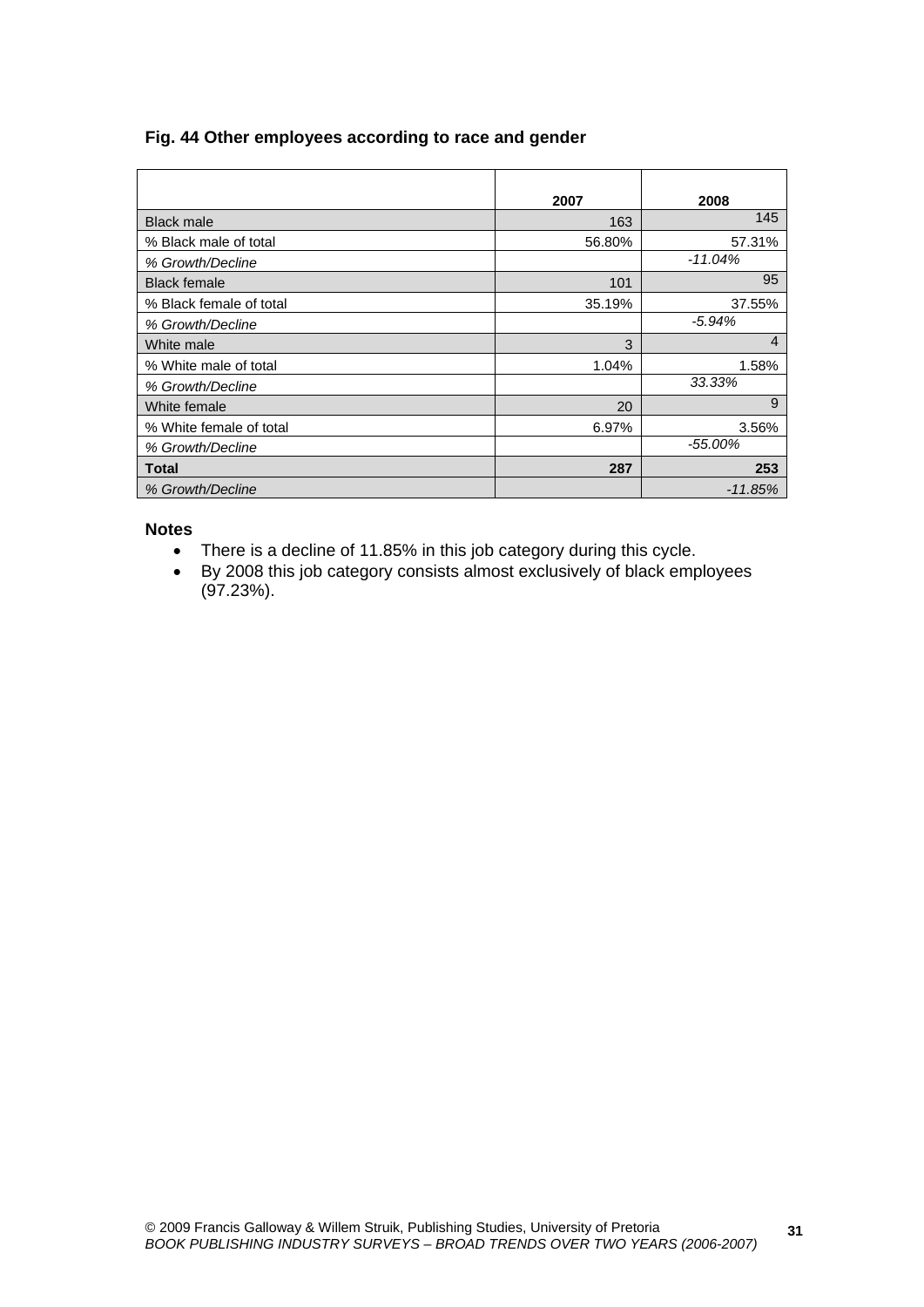## **Fig. 44 Other employees according to race and gender**

|                         | 2007   | 2008           |
|-------------------------|--------|----------------|
| <b>Black male</b>       | 163    | 145            |
| % Black male of total   | 56.80% | 57.31%         |
| % Growth/Decline        |        | $-11.04%$      |
| <b>Black female</b>     | 101    | 95             |
| % Black female of total | 35.19% | 37.55%         |
| % Growth/Decline        |        | $-5.94%$       |
| White male              | 3      | $\overline{4}$ |
| % White male of total   | 1.04%  | 1.58%          |
| % Growth/Decline        |        | 33.33%         |
| White female            | 20     | 9              |
| % White female of total | 6.97%  | 3.56%          |
| % Growth/Decline        |        | $-55.00\%$     |
| Total                   | 287    | 253            |
| % Growth/Decline        |        | $-11.85%$      |

- There is a decline of 11.85% in this job category during this cycle.
- By 2008 this job category consists almost exclusively of black employees (97.23%).